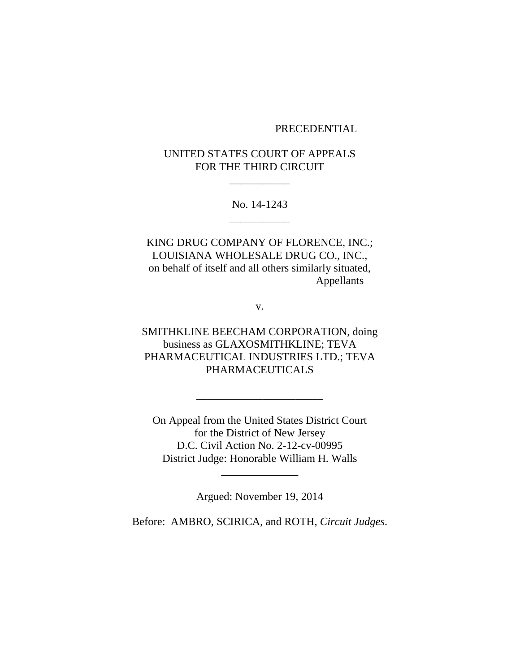## PRECEDENTIAL

# UNITED STATES COURT OF APPEALS FOR THE THIRD CIRCUIT

\_\_\_\_\_\_\_\_\_\_\_

No. 14-1243 \_\_\_\_\_\_\_\_\_\_\_

KING DRUG COMPANY OF FLORENCE, INC.; LOUISIANA WHOLESALE DRUG CO., INC., on behalf of itself and all others similarly situated, Appellants

v.

SMITHKLINE BEECHAM CORPORATION, doing business as GLAXOSMITHKLINE; TEVA PHARMACEUTICAL INDUSTRIES LTD.; TEVA PHARMACEUTICALS

\_\_\_\_\_\_\_\_\_\_\_\_\_\_\_\_\_\_\_\_\_\_\_

On Appeal from the United States District Court for the District of New Jersey D.C. Civil Action No. 2-12-cv-00995 District Judge: Honorable William H. Walls

Argued: November 19, 2014

\_\_\_\_\_\_\_\_\_\_\_\_\_\_

Before: AMBRO, SCIRICA, and ROTH, *Circuit Judges*.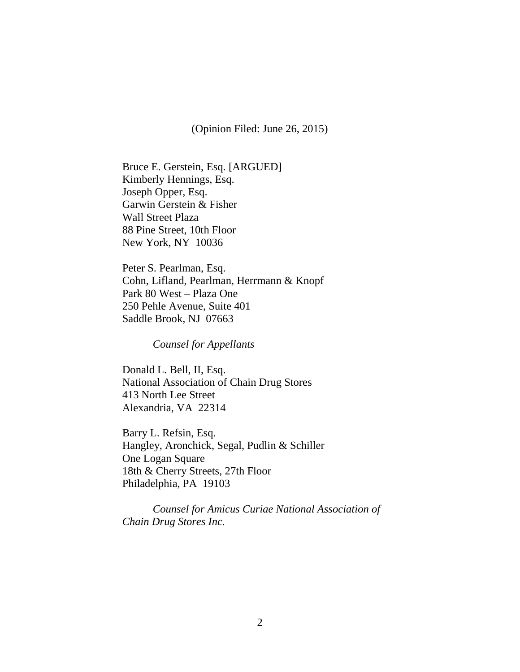(Opinion Filed: June 26, 2015)

Bruce E. Gerstein, Esq. [ARGUED] Kimberly Hennings, Esq. Joseph Opper, Esq. Garwin Gerstein & Fisher Wall Street Plaza 88 Pine Street, 10th Floor New York, NY 10036

Peter S. Pearlman, Esq. Cohn, Lifland, Pearlman, Herrmann & Knopf Park 80 West – Plaza One 250 Pehle Avenue, Suite 401 Saddle Brook, NJ 07663

*Counsel for Appellants*

Donald L. Bell, II, Esq. National Association of Chain Drug Stores 413 North Lee Street Alexandria, VA 22314

Barry L. Refsin, Esq. Hangley, Aronchick, Segal, Pudlin & Schiller One Logan Square 18th & Cherry Streets, 27th Floor Philadelphia, PA 19103

*Counsel for Amicus Curiae National Association of Chain Drug Stores Inc.*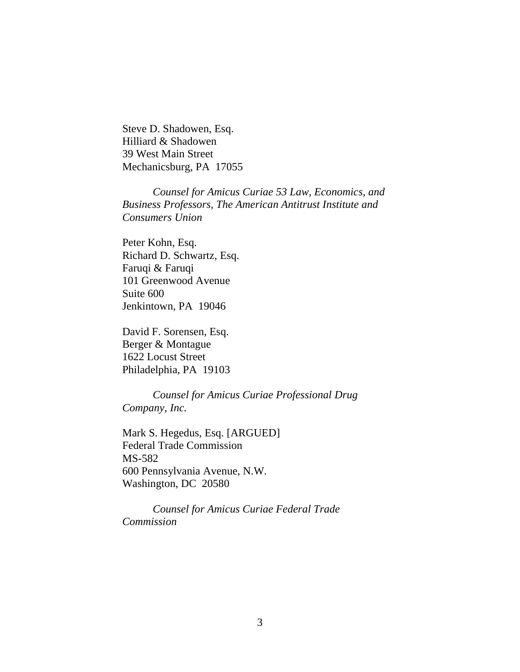Steve D. Shadowen, Esq. Hilliard & Shadowen 39 West Main Street Mechanicsburg, PA 17055

*Counsel for Amicus Curiae 53 Law, Economics, and Business Professors, The American Antitrust Institute and Consumers Union* 

Peter Kohn, Esq. Richard D. Schwartz, Esq. Faruqi & Faruqi 101 Greenwood Avenue Suite 600 Jenkintown, PA 19046

David F. Sorensen, Esq. Berger & Montague 1622 Locust Street Philadelphia, PA 19103

*Counsel for Amicus Curiae Professional Drug Company, Inc.*

Mark S. Hegedus, Esq. [ARGUED] Federal Trade Commission MS-582 600 Pennsylvania Avenue, N.W. Washington, DC 20580

*Counsel for Amicus Curiae Federal Trade Commission*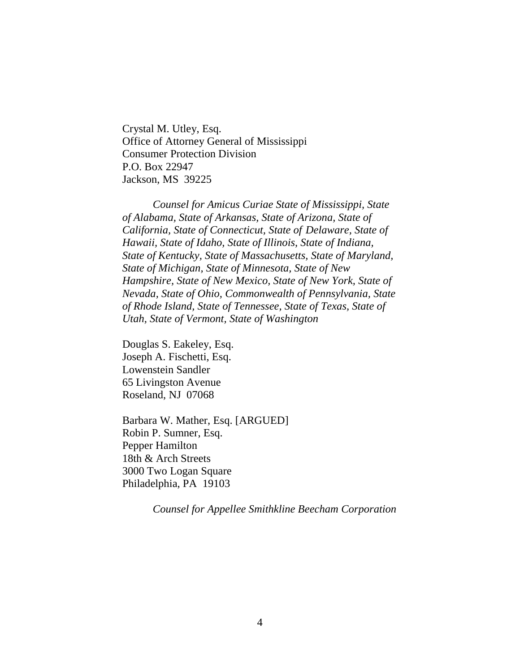Crystal M. Utley, Esq. Office of Attorney General of Mississippi Consumer Protection Division P.O. Box 22947 Jackson, MS 39225

*Counsel for Amicus Curiae State of Mississippi, State of Alabama, State of Arkansas, State of Arizona, State of California, State of Connecticut, State of Delaware, State of Hawaii, State of Idaho, State of Illinois, State of Indiana, State of Kentucky, State of Massachusetts, State of Maryland, State of Michigan, State of Minnesota, State of New Hampshire, State of New Mexico, State of New York, State of Nevada, State of Ohio, Commonwealth of Pennsylvania, State of Rhode Island, State of Tennessee, State of Texas, State of Utah, State of Vermont, State of Washington*

Douglas S. Eakeley, Esq. Joseph A. Fischetti, Esq. Lowenstein Sandler 65 Livingston Avenue Roseland, NJ 07068

Barbara W. Mather, Esq. [ARGUED] Robin P. Sumner, Esq. Pepper Hamilton 18th & Arch Streets 3000 Two Logan Square Philadelphia, PA 19103

*Counsel for Appellee Smithkline Beecham Corporation*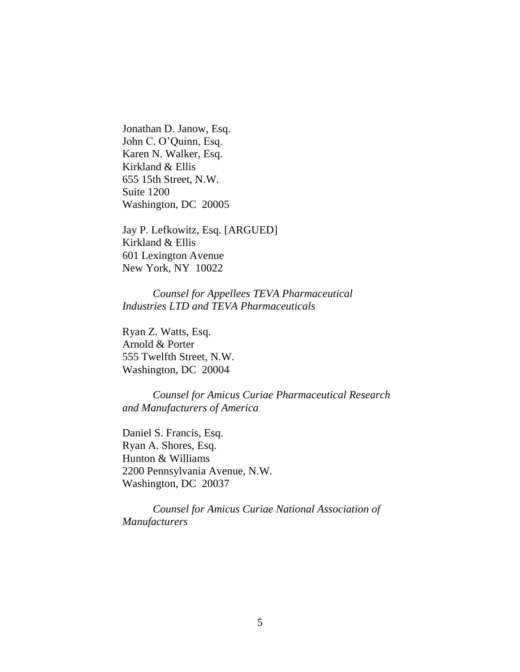Jonathan D. Janow, Esq. John C. O'Quinn, Esq. Karen N. Walker, Esq. Kirkland & Ellis 655 15th Street, N.W. Suite 1200 Washington, DC 20005

Jay P. Lefkowitz, Esq. [ARGUED] Kirkland & Ellis 601 Lexington Avenue New York, NY 10022

*Counsel for Appellees TEVA Pharmaceutical Industries LTD and TEVA Pharmaceuticals*

Ryan Z. Watts, Esq. Arnold & Porter 555 Twelfth Street, N.W. Washington, DC 20004

*Counsel for Amicus Curiae Pharmaceutical Research and Manufacturers of America*

Daniel S. Francis, Esq. Ryan A. Shores, Esq. Hunton & Williams 2200 Pennsylvania Avenue, N.W. Washington, DC 20037

*Counsel for Amicus Curiae National Association of Manufacturers*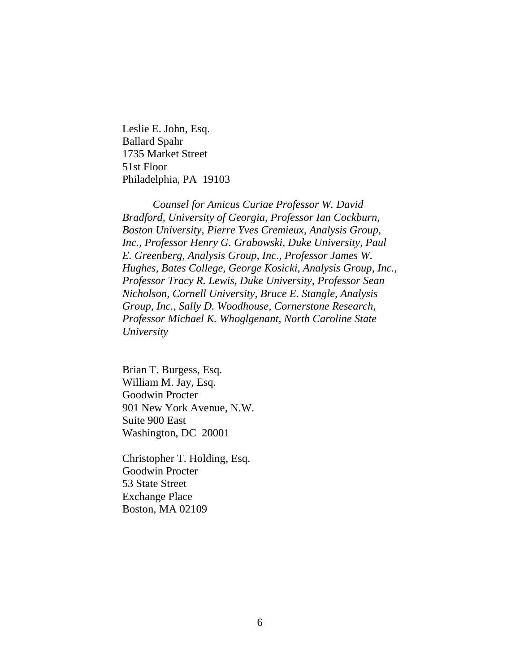Leslie E. John, Esq. Ballard Spahr 1735 Market Street 51st Floor Philadelphia, PA 19103

*Counsel for Amicus Curiae Professor W. David Bradford, University of Georgia, Professor Ian Cockburn, Boston University, Pierre Yves Cremieux, Analysis Group, Inc., Professor Henry G. Grabowski, Duke University, Paul E. Greenberg, Analysis Group, Inc., Professor James W. Hughes, Bates College, George Kosicki, Analysis Group, Inc., Professor Tracy R. Lewis, Duke University, Professor Sean Nicholson, Cornell University, Bruce E. Stangle, Analysis Group, Inc., Sally D. Woodhouse, Cornerstone Research, Professor Michael K. Whoglgenant, North Caroline State University*

Brian T. Burgess, Esq. William M. Jay, Esq. Goodwin Procter 901 New York Avenue, N.W. Suite 900 East Washington, DC 20001

Christopher T. Holding, Esq. Goodwin Procter 53 State Street Exchange Place Boston, MA 02109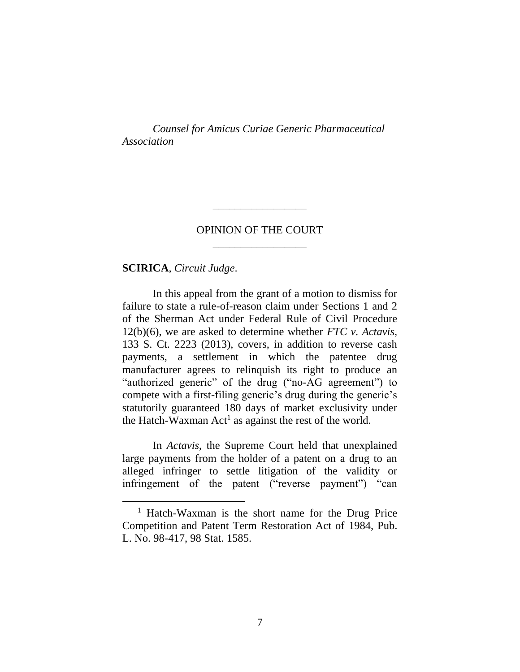*Counsel for Amicus Curiae Generic Pharmaceutical Association*

# OPINION OF THE COURT \_\_\_\_\_\_\_\_\_\_\_\_\_\_\_\_\_

\_\_\_\_\_\_\_\_\_\_\_\_\_\_\_\_\_

**SCIRICA**, *Circuit Judge*.

In this appeal from the grant of a motion to dismiss for failure to state a rule-of-reason claim under Sections 1 and 2 of the Sherman Act under Federal Rule of Civil Procedure 12(b)(6), we are asked to determine whether *FTC v. Actavis*, 133 S. Ct. 2223 (2013), covers, in addition to reverse cash payments, a settlement in which the patentee drug manufacturer agrees to relinquish its right to produce an "authorized generic" of the drug ("no-AG agreement") to compete with a first-filing generic's drug during the generic's statutorily guaranteed 180 days of market exclusivity under the Hatch-Waxman  $Act<sup>1</sup>$  as against the rest of the world.

In *Actavis*, the Supreme Court held that unexplained large payments from the holder of a patent on a drug to an alleged infringer to settle litigation of the validity or infringement of the patent ("reverse payment") "can

<sup>1</sup> Hatch-Waxman is the short name for the Drug Price Competition and Patent Term Restoration Act of 1984, Pub. L. No. 98-417, 98 Stat. 1585.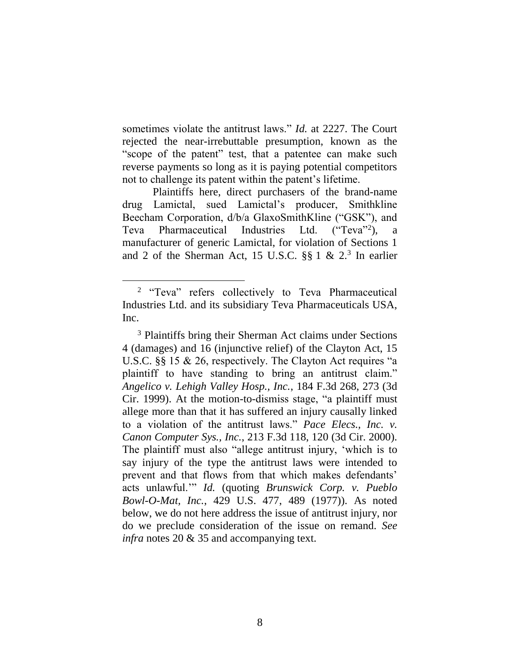sometimes violate the antitrust laws." *Id.* at 2227. The Court rejected the near-irrebuttable presumption, known as the "scope of the patent" test, that a patentee can make such reverse payments so long as it is paying potential competitors not to challenge its patent within the patent's lifetime.

Plaintiffs here, direct purchasers of the brand-name drug Lamictal, sued Lamictal's producer, Smithkline Beecham Corporation, d/b/a GlaxoSmithKline ("GSK"), and Teva Pharmaceutical Industries Ltd.  $({}^{\alpha}$ Teva<sup>"2</sup>), a manufacturer of generic Lamictal, for violation of Sections 1 and 2 of the Sherman Act, 15 U.S.C.  $\S\S 1 \& 2^3$  In earlier

<span id="page-7-0"></span><sup>&</sup>lt;sup>2</sup> "Teva" refers collectively to Teva Pharmaceutical Industries Ltd. and its subsidiary Teva Pharmaceuticals USA, Inc.

<sup>3</sup> Plaintiffs bring their Sherman Act claims under Sections 4 (damages) and 16 (injunctive relief) of the Clayton Act, 15 U.S.C. §§ 15 & 26, respectively. The Clayton Act requires "a plaintiff to have standing to bring an antitrust claim." *Angelico v. Lehigh Valley Hosp., Inc.*, 184 F.3d 268, 273 (3d Cir. 1999). At the motion-to-dismiss stage, "a plaintiff must allege more than that it has suffered an injury causally linked to a violation of the antitrust laws." *Pace Elecs., Inc. v. Canon Computer Sys., Inc.*, 213 F.3d 118, 120 (3d Cir. 2000). The plaintiff must also "allege antitrust injury, 'which is to say injury of the type the antitrust laws were intended to prevent and that flows from that which makes defendants' acts unlawful.'" *Id.* (quoting *Brunswick Corp. v. Pueblo Bowl-O-Mat, Inc.*, 429 U.S. 477, 489 (1977)). As noted below, we do not here address the issue of antitrust injury, nor do we preclude consideration of the issue on remand. *See infra* notes [20](#page-30-0) & [35](#page-45-0) and accompanying text.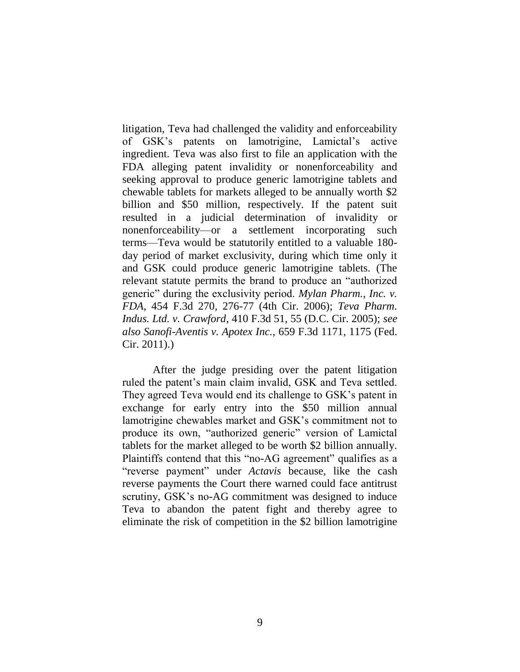litigation, Teva had challenged the validity and enforceability of GSK's patents on lamotrigine, Lamictal's active ingredient. Teva was also first to file an application with the FDA alleging patent invalidity or nonenforceability and seeking approval to produce generic lamotrigine tablets and chewable tablets for markets alleged to be annually worth \$2 billion and \$50 million, respectively. If the patent suit resulted in a judicial determination of invalidity or nonenforceability—or a settlement incorporating such terms—Teva would be statutorily entitled to a valuable 180 day period of market exclusivity, during which time only it and GSK could produce generic lamotrigine tablets. (The relevant statute permits the brand to produce an "authorized generic" during the exclusivity period. *Mylan Pharm., Inc. v. FDA*, 454 F.3d 270, 276-77 (4th Cir. 2006); *Teva Pharm. Indus. Ltd. v. Crawford*, 410 F.3d 51, 55 (D.C. Cir. 2005); *see also Sanofi-Aventis v. Apotex Inc.*, 659 F.3d 1171, 1175 (Fed. Cir. 2011).)

After the judge presiding over the patent litigation ruled the patent's main claim invalid, GSK and Teva settled. They agreed Teva would end its challenge to GSK's patent in exchange for early entry into the \$50 million annual lamotrigine chewables market and GSK's commitment not to produce its own, "authorized generic" version of Lamictal tablets for the market alleged to be worth \$2 billion annually. Plaintiffs contend that this "no-AG agreement" qualifies as a "reverse payment" under *Actavis* because, like the cash reverse payments the Court there warned could face antitrust scrutiny, GSK's no-AG commitment was designed to induce Teva to abandon the patent fight and thereby agree to eliminate the risk of competition in the \$2 billion lamotrigine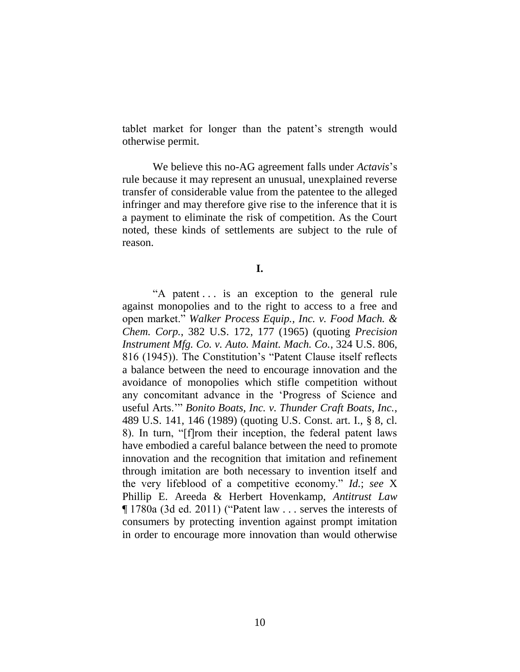tablet market for longer than the patent's strength would otherwise permit.

We believe this no-AG agreement falls under *Actavis*'s rule because it may represent an unusual, unexplained reverse transfer of considerable value from the patentee to the alleged infringer and may therefore give rise to the inference that it is a payment to eliminate the risk of competition. As the Court noted, these kinds of settlements are subject to the rule of reason.

**I.**

"A patent . . . is an exception to the general rule against monopolies and to the right to access to a free and open market." *Walker Process Equip., Inc. v. Food Mach. & Chem. Corp.*, 382 U.S. 172, 177 (1965) (quoting *Precision Instrument Mfg. Co. v. Auto. Maint. Mach. Co.*, 324 U.S. 806, 816 (1945)). The Constitution's "Patent Clause itself reflects a balance between the need to encourage innovation and the avoidance of monopolies which stifle competition without any concomitant advance in the 'Progress of Science and useful Arts.'" *Bonito Boats, Inc. v. Thunder Craft Boats, Inc.*, 489 U.S. 141, 146 (1989) (quoting U.S. Const. art. I., § 8, cl. 8). In turn, "[f]rom their inception, the federal patent laws have embodied a careful balance between the need to promote innovation and the recognition that imitation and refinement through imitation are both necessary to invention itself and the very lifeblood of a competitive economy." *Id.*; *see* X Phillip E. Areeda & Herbert Hovenkamp, *Antitrust Law* ¶ 1780a (3d ed. 2011) ("Patent law . . . serves the interests of consumers by protecting invention against prompt imitation in order to encourage more innovation than would otherwise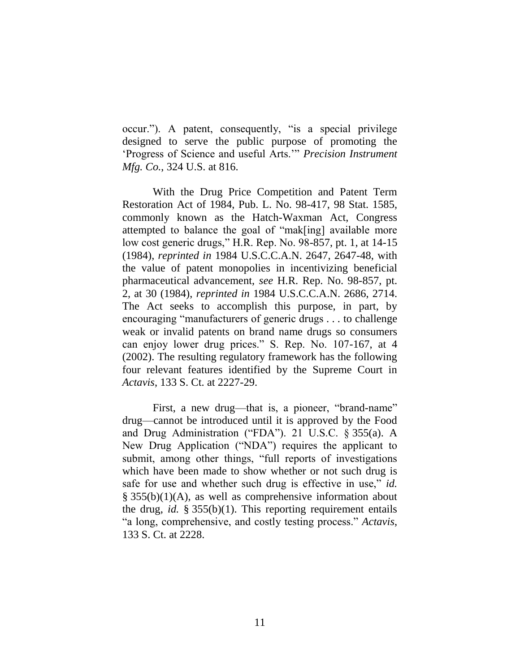occur."). A patent, consequently, "is a special privilege designed to serve the public purpose of promoting the 'Progress of Science and useful Arts.'" *Precision Instrument Mfg. Co.*, 324 U.S. at 816.

With the Drug Price Competition and Patent Term Restoration Act of 1984, Pub. L. No. 98-417, 98 Stat. 1585, commonly known as the Hatch-Waxman Act, Congress attempted to balance the goal of "mak[ing] available more low cost generic drugs," H.R. Rep. No. 98-857, pt. 1, at 14-15 (1984), *reprinted in* 1984 U.S.C.C.A.N. 2647, 2647-48, with the value of patent monopolies in incentivizing beneficial pharmaceutical advancement, *see* H.R. Rep. No. 98-857, pt. 2, at 30 (1984), *reprinted in* 1984 U.S.C.C.A.N. 2686, 2714. The Act seeks to accomplish this purpose, in part, by encouraging "manufacturers of generic drugs . . . to challenge weak or invalid patents on brand name drugs so consumers can enjoy lower drug prices." S. Rep. No. 107-167, at 4 (2002). The resulting regulatory framework has the following four relevant features identified by the Supreme Court in *Actavis*, 133 S. Ct. at 2227-29.

First, a new drug—that is, a pioneer, "brand-name" drug—cannot be introduced until it is approved by the Food and Drug Administration ("FDA"). 21 U.S.C. § 355(a). A New Drug Application ("NDA") requires the applicant to submit, among other things, "full reports of investigations which have been made to show whether or not such drug is safe for use and whether such drug is effective in use," *id.* § 355(b)(1)(A), as well as comprehensive information about the drug, *id.* § 355(b)(1). This reporting requirement entails "a long, comprehensive, and costly testing process." *Actavis*, 133 S. Ct. at 2228.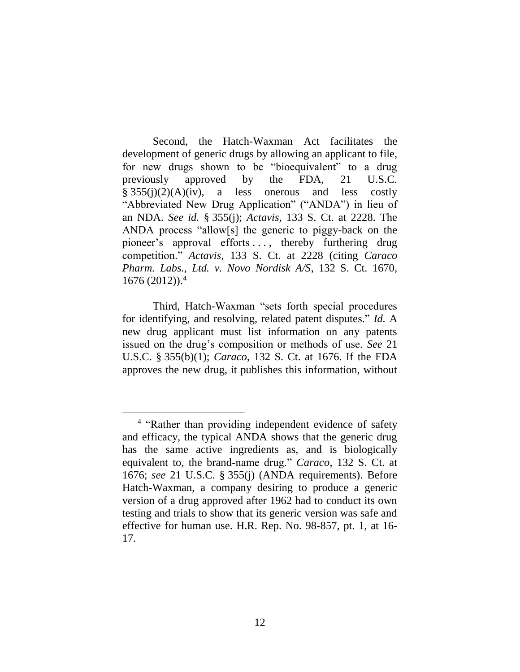Second, the Hatch-Waxman Act facilitates the development of generic drugs by allowing an applicant to file, for new drugs shown to be "bioequivalent" to a drug previously approved by the FDA, 21 U.S.C.  $§ 355(i)(2)(A)(iv)$ , a less onerous and less costly "Abbreviated New Drug Application" ("ANDA") in lieu of an NDA. *See id.* § 355(j); *Actavis*, 133 S. Ct. at 2228. The ANDA process "allow[s] the generic to piggy-back on the pioneer's approval efforts . . . , thereby furthering drug competition." *Actavis*, 133 S. Ct. at 2228 (citing *Caraco Pharm. Labs., Ltd. v. Novo Nordisk A/S*, 132 S. Ct. 1670,  $1676 (2012)$ .<sup>4</sup>

Third, Hatch-Waxman "sets forth special procedures for identifying, and resolving, related patent disputes." *Id.* A new drug applicant must list information on any patents issued on the drug's composition or methods of use. *See* 21 U.S.C. § 355(b)(1); *Caraco*, 132 S. Ct. at 1676. If the FDA approves the new drug, it publishes this information, without

<sup>&</sup>lt;sup>4</sup> "Rather than providing independent evidence of safety and efficacy, the typical ANDA shows that the generic drug has the same active ingredients as, and is biologically equivalent to, the brand-name drug." *Caraco*, 132 S. Ct. at 1676; *see* 21 U.S.C. § 355(j) (ANDA requirements). Before Hatch-Waxman, a company desiring to produce a generic version of a drug approved after 1962 had to conduct its own testing and trials to show that its generic version was safe and effective for human use. H.R. Rep. No. 98-857, pt. 1, at 16- 17.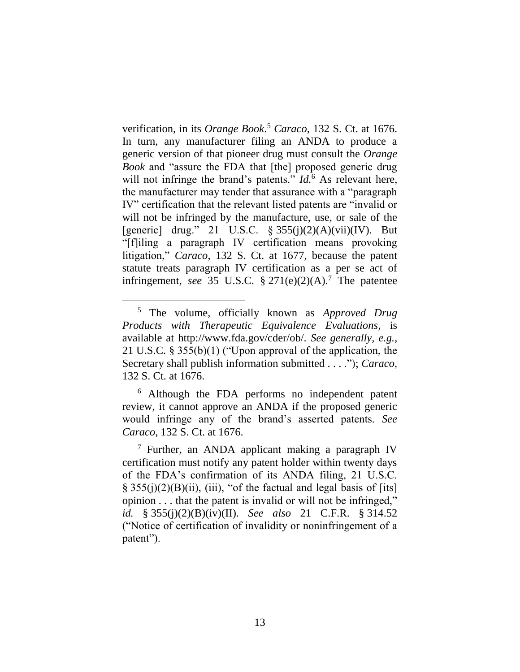verification, in its *Orange Book*. <sup>5</sup> *Caraco*, 132 S. Ct. at 1676. In turn, any manufacturer filing an ANDA to produce a generic version of that pioneer drug must consult the *Orange Book* and "assure the FDA that [the] proposed generic drug will not infringe the brand's patents." *Id.*<sup>6</sup> As relevant here, the manufacturer may tender that assurance with a "paragraph IV" certification that the relevant listed patents are "invalid or will not be infringed by the manufacture, use, or sale of the [generic] drug." 21 U.S.C.  $\frac{255(i)(2)(A)(vii)}{V}$ . But "[f]iling a paragraph IV certification means provoking litigation," *Caraco*, 132 S. Ct. at 1677, because the patent statute treats paragraph IV certification as a per se act of infringement, *see* 35 U.S.C.  $\S 271(e)(2)(A)$ .<sup>7</sup> The patentee

 $\overline{a}$ 

<sup>6</sup> Although the FDA performs no independent patent review, it cannot approve an ANDA if the proposed generic would infringe any of the brand's asserted patents. *See Caraco*, 132 S. Ct. at 1676.

 $<sup>7</sup>$  Further, an ANDA applicant making a paragraph IV</sup> certification must notify any patent holder within twenty days of the FDA's confirmation of its ANDA filing, 21 U.S.C.  $\S$  355(j)(2)(B)(ii), (iii), "of the factual and legal basis of [its] opinion . . . that the patent is invalid or will not be infringed," *id.* § 355(j)(2)(B)(iv)(II). *See also* 21 C.F.R. § 314.52 ("Notice of certification of invalidity or noninfringement of a patent").

<sup>5</sup> The volume, officially known as *Approved Drug Products with Therapeutic Equivalence Evaluations*, is available at http://www.fda.gov/cder/ob/. *See generally, e.g.*, 21 U.S.C. § 355(b)(1) ("Upon approval of the application, the Secretary shall publish information submitted . . . ."); *Caraco*, 132 S. Ct. at 1676.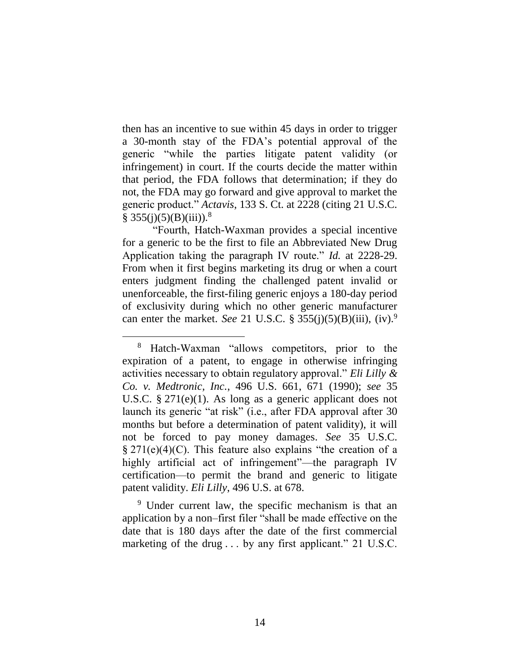then has an incentive to sue within 45 days in order to trigger a 30-month stay of the FDA's potential approval of the generic "while the parties litigate patent validity (or infringement) in court. If the courts decide the matter within that period, the FDA follows that determination; if they do not, the FDA may go forward and give approval to market the generic product." *Actavis*, 133 S. Ct. at 2228 (citing 21 U.S.C.  $\S$  355(j)(5)(B)(iii)).<sup>8</sup>

"Fourth, Hatch-Waxman provides a special incentive for a generic to be the first to file an Abbreviated New Drug Application taking the paragraph IV route." *Id.* at 2228-29. From when it first begins marketing its drug or when a court enters judgment finding the challenged patent invalid or unenforceable, the first-filing generic enjoys a 180-day period of exclusivity during which no other generic manufacturer can enter the market. *See* 21 U.S.C. § 355(j)(5)(B)(iii), (iv).<sup>9</sup>

 $\overline{a}$ 

<sup>9</sup> Under current law, the specific mechanism is that an application by a non–first filer "shall be made effective on the date that is 180 days after the date of the first commercial marketing of the drug ... by any first applicant." 21 U.S.C.

<sup>8</sup> Hatch-Waxman "allows competitors, prior to the expiration of a patent, to engage in otherwise infringing activities necessary to obtain regulatory approval." *Eli Lilly & Co. v. Medtronic, Inc.*, 496 U.S. 661, 671 (1990); *see* 35 U.S.C. § 271(e)(1). As long as a generic applicant does not launch its generic "at risk" (i.e., after FDA approval after 30 months but before a determination of patent validity), it will not be forced to pay money damages. *See* 35 U.S.C. § 271(e)(4)(C). This feature also explains "the creation of a highly artificial act of infringement"—the paragraph IV certification—to permit the brand and generic to litigate patent validity. *Eli Lilly*, 496 U.S. at 678.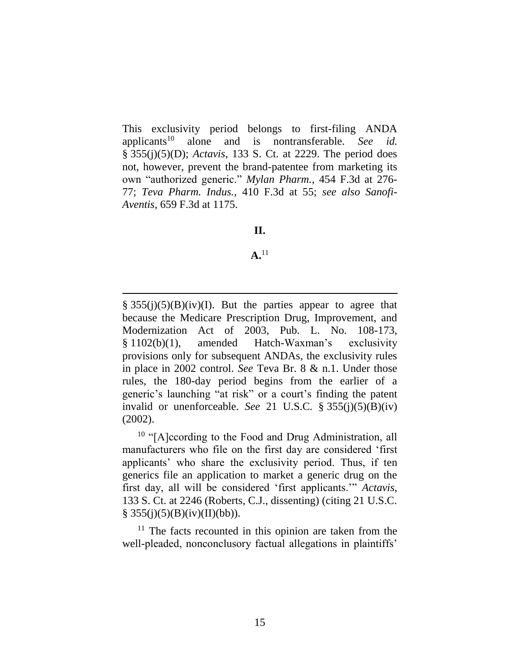This exclusivity period belongs to first-filing ANDA applicants<sup>10</sup> alone and is nontransferable. *See id.* § 355(j)(5)(D); *Actavis*, 133 S. Ct. at 2229. The period does not, however, prevent the brand-patentee from marketing its own "authorized generic." *Mylan Pharm.*, 454 F.3d at 276- 77; *Teva Pharm. Indus.*, 410 F.3d at 55; *see also Sanofi-Aventis*, 659 F.3d at 1175.

## **II.**

### **A.**<sup>11</sup>

 $\S$  355(j)(5)(B)(iv)(I). But the parties appear to agree that because the Medicare Prescription Drug, Improvement, and Modernization Act of 2003, Pub. L. No. 108-173, § 1102(b)(1), amended Hatch-Waxman's exclusivity provisions only for subsequent ANDAs, the exclusivity rules in place in 2002 control. *See* Teva Br. 8 & n.1. Under those rules, the 180-day period begins from the earlier of a generic's launching "at risk" or a court's finding the patent invalid or unenforceable. *See* 21 U.S.C. § 355(j)(5)(B)(iv) (2002).

<sup>10</sup> "[A]ccording to the Food and Drug Administration, all manufacturers who file on the first day are considered 'first applicants' who share the exclusivity period. Thus, if ten generics file an application to market a generic drug on the first day, all will be considered 'first applicants.'" *Actavis*, 133 S. Ct. at 2246 (Roberts, C.J., dissenting) (citing 21 U.S.C.  $§ 355(j)(5)(B)(iv)(II)(bb)).$ 

<sup>11</sup> The facts recounted in this opinion are taken from the well-pleaded, nonconclusory factual allegations in plaintiffs'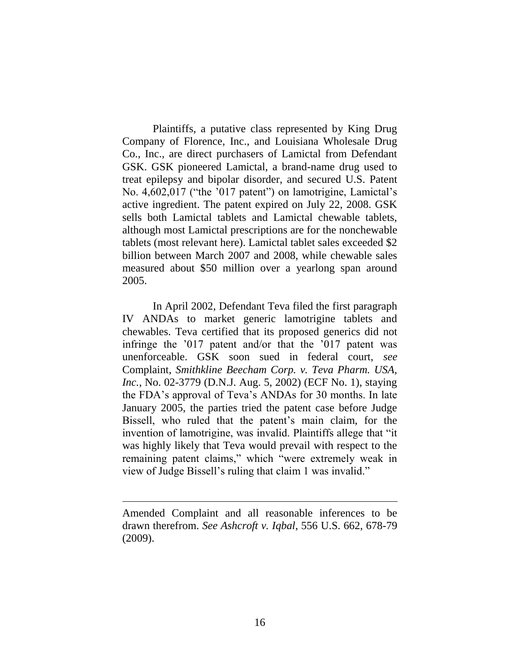Plaintiffs, a putative class represented by King Drug Company of Florence, Inc., and Louisiana Wholesale Drug Co., Inc., are direct purchasers of Lamictal from Defendant GSK. GSK pioneered Lamictal, a brand-name drug used to treat epilepsy and bipolar disorder, and secured U.S. Patent No. 4,602,017 ("the '017 patent") on lamotrigine, Lamictal's active ingredient. The patent expired on July 22, 2008. GSK sells both Lamictal tablets and Lamictal chewable tablets, although most Lamictal prescriptions are for the nonchewable tablets (most relevant here). Lamictal tablet sales exceeded \$2 billion between March 2007 and 2008, while chewable sales measured about \$50 million over a yearlong span around 2005.

In April 2002, Defendant Teva filed the first paragraph IV ANDAs to market generic lamotrigine tablets and chewables. Teva certified that its proposed generics did not infringe the '017 patent and/or that the '017 patent was unenforceable. GSK soon sued in federal court, *see* Complaint, *Smithkline Beecham Corp. v. Teva Pharm. USA, Inc.*, No. 02-3779 (D.N.J. Aug. 5, 2002) (ECF No. 1), staying the FDA's approval of Teva's ANDAs for 30 months. In late January 2005, the parties tried the patent case before Judge Bissell, who ruled that the patent's main claim, for the invention of lamotrigine, was invalid. Plaintiffs allege that "it was highly likely that Teva would prevail with respect to the remaining patent claims," which "were extremely weak in view of Judge Bissell's ruling that claim 1 was invalid."

Amended Complaint and all reasonable inferences to be drawn therefrom. *See Ashcroft v. Iqbal*, 556 U.S. 662, 678-79 (2009).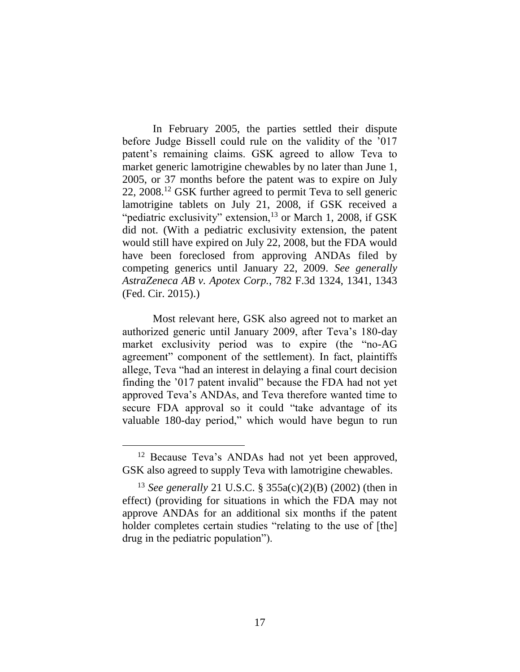In February 2005, the parties settled their dispute before Judge Bissell could rule on the validity of the '017 patent's remaining claims. GSK agreed to allow Teva to market generic lamotrigine chewables by no later than June 1, 2005, or 37 months before the patent was to expire on July 22, 2008.<sup>12</sup> GSK further agreed to permit Teva to sell generic lamotrigine tablets on July 21, 2008, if GSK received a "pediatric exclusivity" extension, $^{13}$  or March 1, 2008, if GSK did not. (With a pediatric exclusivity extension, the patent would still have expired on July 22, 2008, but the FDA would have been foreclosed from approving ANDAs filed by competing generics until January 22, 2009. *See generally AstraZeneca AB v. Apotex Corp.*, 782 F.3d 1324, 1341, 1343 (Fed. Cir. 2015).)

Most relevant here, GSK also agreed not to market an authorized generic until January 2009, after Teva's 180-day market exclusivity period was to expire (the "no-AG agreement" component of the settlement). In fact, plaintiffs allege, Teva "had an interest in delaying a final court decision finding the '017 patent invalid" because the FDA had not yet approved Teva's ANDAs, and Teva therefore wanted time to secure FDA approval so it could "take advantage of its valuable 180-day period," which would have begun to run

<sup>&</sup>lt;sup>12</sup> Because Teva's ANDAs had not yet been approved, GSK also agreed to supply Teva with lamotrigine chewables.

<sup>13</sup> *See generally* 21 U.S.C. § 355a(c)(2)(B) (2002) (then in effect) (providing for situations in which the FDA may not approve ANDAs for an additional six months if the patent holder completes certain studies "relating to the use of [the] drug in the pediatric population").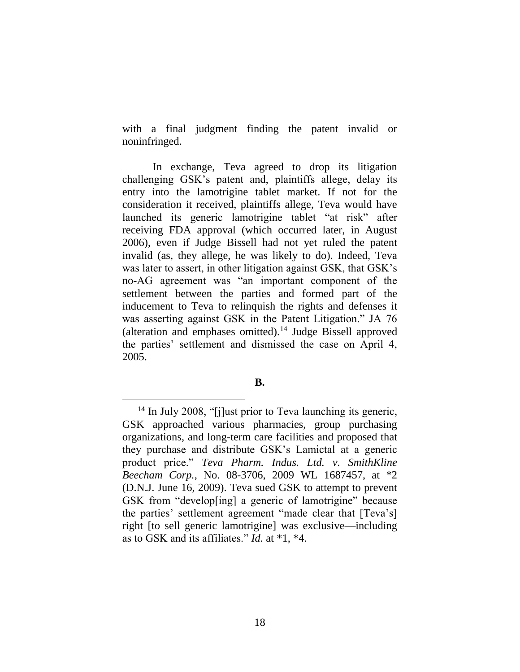with a final judgment finding the patent invalid or noninfringed.

In exchange, Teva agreed to drop its litigation challenging GSK's patent and, plaintiffs allege, delay its entry into the lamotrigine tablet market. If not for the consideration it received, plaintiffs allege, Teva would have launched its generic lamotrigine tablet "at risk" after receiving FDA approval (which occurred later, in August 2006), even if Judge Bissell had not yet ruled the patent invalid (as, they allege, he was likely to do). Indeed, Teva was later to assert, in other litigation against GSK, that GSK's no-AG agreement was "an important component of the settlement between the parties and formed part of the inducement to Teva to relinquish the rights and defenses it was asserting against GSK in the Patent Litigation." JA 76 (alteration and emphases omitted).<sup>14</sup> Judge Bissell approved the parties' settlement and dismissed the case on April 4, 2005.

**B.**

<sup>&</sup>lt;sup>14</sup> In July 2008, "[j]ust prior to Teva launching its generic, GSK approached various pharmacies, group purchasing organizations, and long-term care facilities and proposed that they purchase and distribute GSK's Lamictal at a generic product price." *Teva Pharm. Indus. Ltd. v. SmithKline Beecham Corp.*, No. 08-3706, 2009 WL 1687457, at \*2 (D.N.J. June 16, 2009). Teva sued GSK to attempt to prevent GSK from "develop[ing] a generic of lamotrigine" because the parties' settlement agreement "made clear that [Teva's] right [to sell generic lamotrigine] was exclusive—including as to GSK and its affiliates." *Id.* at \*1, \*4.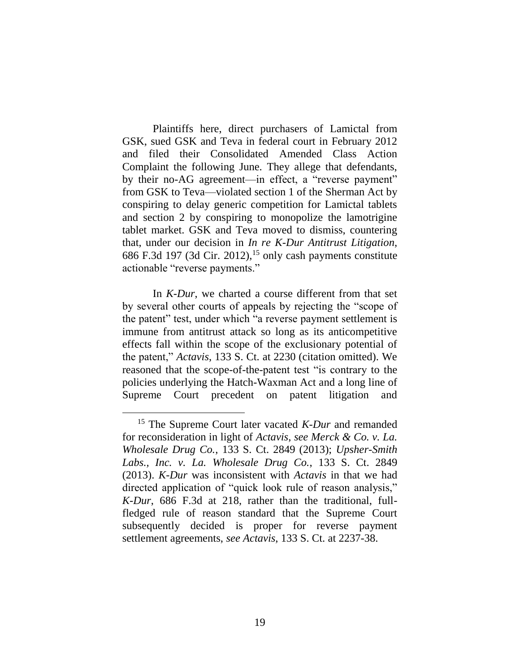Plaintiffs here, direct purchasers of Lamictal from GSK, sued GSK and Teva in federal court in February 2012 and filed their Consolidated Amended Class Action Complaint the following June. They allege that defendants, by their no-AG agreement—in effect, a "reverse payment" from GSK to Teva—violated section 1 of the Sherman Act by conspiring to delay generic competition for Lamictal tablets and section 2 by conspiring to monopolize the lamotrigine tablet market. GSK and Teva moved to dismiss, countering that, under our decision in *In re K-Dur Antitrust Litigation*, 686 F.3d 197 (3d Cir. 2012),<sup>15</sup> only cash payments constitute actionable "reverse payments."

<span id="page-18-0"></span>In *K-Dur*, we charted a course different from that set by several other courts of appeals by rejecting the "scope of the patent" test, under which "a reverse payment settlement is immune from antitrust attack so long as its anticompetitive effects fall within the scope of the exclusionary potential of the patent," *Actavis*, 133 S. Ct. at 2230 (citation omitted). We reasoned that the scope-of-the-patent test "is contrary to the policies underlying the Hatch-Waxman Act and a long line of Supreme Court precedent on patent litigation and

<sup>15</sup> The Supreme Court later vacated *K-Dur* and remanded for reconsideration in light of *Actavis*, *see Merck & Co. v. La. Wholesale Drug Co.*, 133 S. Ct. 2849 (2013); *Upsher-Smith Labs., Inc. v. La. Wholesale Drug Co.*, 133 S. Ct. 2849 (2013). *K-Dur* was inconsistent with *Actavis* in that we had directed application of "quick look rule of reason analysis," *K-Dur*, 686 F.3d at 218, rather than the traditional, fullfledged rule of reason standard that the Supreme Court subsequently decided is proper for reverse payment settlement agreements, *see Actavis*, 133 S. Ct. at 2237-38.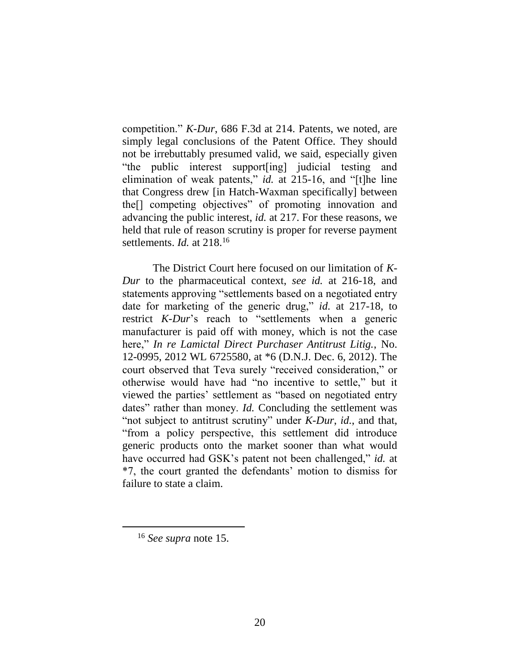competition." *K-Dur*, 686 F.3d at 214. Patents, we noted, are simply legal conclusions of the Patent Office. They should not be irrebuttably presumed valid, we said, especially given "the public interest support[ing] judicial testing and elimination of weak patents," *id.* at 215-16, and "[t]he line that Congress drew [in Hatch-Waxman specifically] between the[] competing objectives" of promoting innovation and advancing the public interest, *id.* at 217. For these reasons, we held that rule of reason scrutiny is proper for reverse payment settlements. *Id.* at 218.<sup>16</sup>

The District Court here focused on our limitation of *K-Dur* to the pharmaceutical context, *see id.* at 216-18, and statements approving "settlements based on a negotiated entry date for marketing of the generic drug," *id.* at 217-18, to restrict *K-Dur*'s reach to "settlements when a generic manufacturer is paid off with money, which is not the case here," *In re Lamictal Direct Purchaser Antitrust Litig.*, No. 12-0995, 2012 WL 6725580, at \*6 (D.N.J. Dec. 6, 2012). The court observed that Teva surely "received consideration," or otherwise would have had "no incentive to settle," but it viewed the parties' settlement as "based on negotiated entry dates" rather than money. *Id.* Concluding the settlement was "not subject to antitrust scrutiny" under *K-Dur*, *id.*, and that, "from a policy perspective, this settlement did introduce generic products onto the market sooner than what would have occurred had GSK's patent not been challenged," *id.* at \*7, the court granted the defendants' motion to dismiss for failure to state a claim.

<sup>16</sup> *See supra* note [15.](#page-18-0)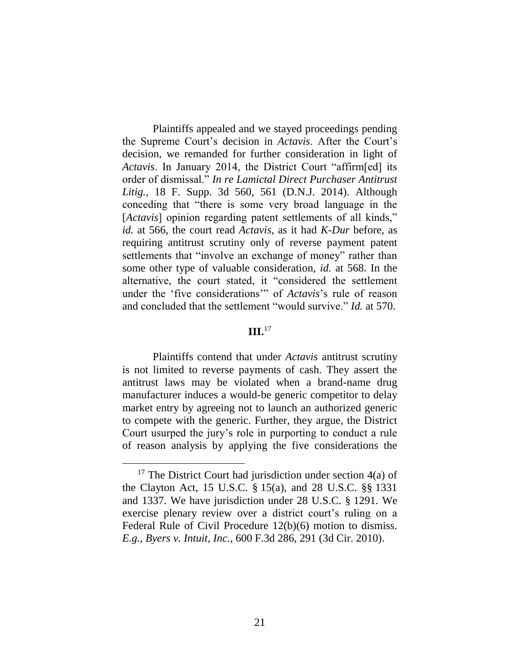Plaintiffs appealed and we stayed proceedings pending the Supreme Court's decision in *Actavis*. After the Court's decision, we remanded for further consideration in light of *Actavis*. In January 2014, the District Court "affirm[ed] its order of dismissal." *In re Lamictal Direct Purchaser Antitrust Litig.*, 18 F. Supp. 3d 560, 561 (D.N.J. 2014). Although conceding that "there is some very broad language in the [*Actavis*] opinion regarding patent settlements of all kinds," *id.* at 566, the court read *Actavis*, as it had *K-Dur* before, as requiring antitrust scrutiny only of reverse payment patent settlements that "involve an exchange of money" rather than some other type of valuable consideration, *id.* at 568. In the alternative, the court stated, it "considered the settlement under the 'five considerations'" of *Actavis*'s rule of reason and concluded that the settlement "would survive." *Id.* at 570.

### **III.**<sup>17</sup>

Plaintiffs contend that under *Actavis* antitrust scrutiny is not limited to reverse payments of cash. They assert the antitrust laws may be violated when a brand-name drug manufacturer induces a would-be generic competitor to delay market entry by agreeing not to launch an authorized generic to compete with the generic. Further, they argue, the District Court usurped the jury's role in purporting to conduct a rule of reason analysis by applying the five considerations the

<sup>&</sup>lt;sup>17</sup> The District Court had jurisdiction under section  $4(a)$  of the Clayton Act, 15 U.S.C. § 15(a), and 28 U.S.C. §§ 1331 and 1337. We have jurisdiction under 28 U.S.C. § 1291. We exercise plenary review over a district court's ruling on a Federal Rule of Civil Procedure 12(b)(6) motion to dismiss. *E.g.*, *Byers v. Intuit, Inc.*, 600 F.3d 286, 291 (3d Cir. 2010).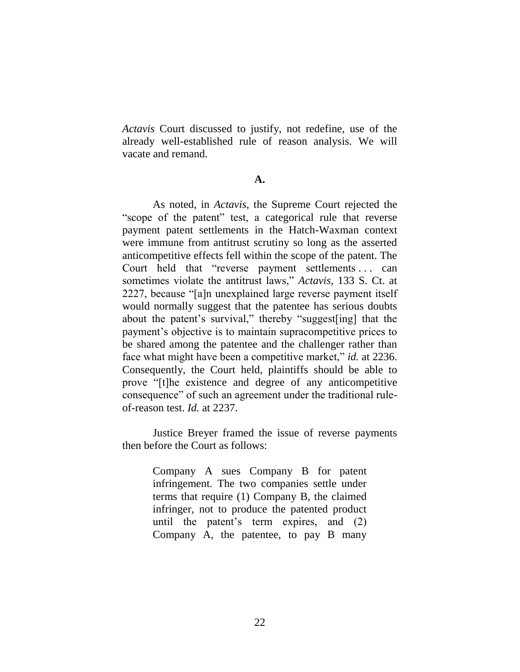*Actavis* Court discussed to justify, not redefine, use of the already well-established rule of reason analysis. We will vacate and remand.

### **A.**

As noted, in *Actavis*, the Supreme Court rejected the "scope of the patent" test, a categorical rule that reverse payment patent settlements in the Hatch-Waxman context were immune from antitrust scrutiny so long as the asserted anticompetitive effects fell within the scope of the patent. The Court held that "reverse payment settlements . . . can sometimes violate the antitrust laws," *Actavis*, 133 S. Ct. at 2227, because "[a]n unexplained large reverse payment itself would normally suggest that the patentee has serious doubts about the patent's survival," thereby "suggest[ing] that the payment's objective is to maintain supracompetitive prices to be shared among the patentee and the challenger rather than face what might have been a competitive market," *id.* at 2236. Consequently, the Court held, plaintiffs should be able to prove "[t]he existence and degree of any anticompetitive consequence" of such an agreement under the traditional ruleof-reason test. *Id.* at 2237.

Justice Breyer framed the issue of reverse payments then before the Court as follows:

> Company A sues Company B for patent infringement. The two companies settle under terms that require (1) Company B, the claimed infringer, not to produce the patented product until the patent's term expires, and (2) Company A, the patentee, to pay B many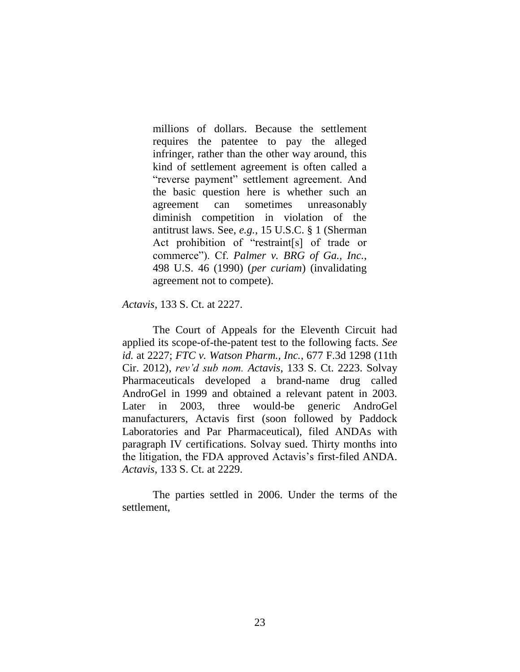millions of dollars. Because the settlement requires the patentee to pay the alleged infringer, rather than the other way around, this kind of settlement agreement is often called a "reverse payment" settlement agreement. And the basic question here is whether such an agreement can sometimes unreasonably diminish competition in violation of the antitrust laws. See, *e.g.*, 15 U.S.C. § 1 (Sherman Act prohibition of "restraint[s] of trade or commerce"). Cf. *Palmer v. BRG of Ga., Inc.*, 498 U.S. 46 (1990) (*per curiam*) (invalidating agreement not to compete).

*Actavis*, 133 S. Ct. at 2227.

The Court of Appeals for the Eleventh Circuit had applied its scope-of-the-patent test to the following facts. *See id.* at 2227; *FTC v. Watson Pharm., Inc.*, 677 F.3d 1298 (11th Cir. 2012), *rev'd sub nom. Actavis*, 133 S. Ct. 2223. Solvay Pharmaceuticals developed a brand-name drug called AndroGel in 1999 and obtained a relevant patent in 2003. Later in 2003, three would-be generic AndroGel manufacturers, Actavis first (soon followed by Paddock Laboratories and Par Pharmaceutical), filed ANDAs with paragraph IV certifications. Solvay sued. Thirty months into the litigation, the FDA approved Actavis's first-filed ANDA. *Actavis*, 133 S. Ct. at 2229.

The parties settled in 2006. Under the terms of the settlement,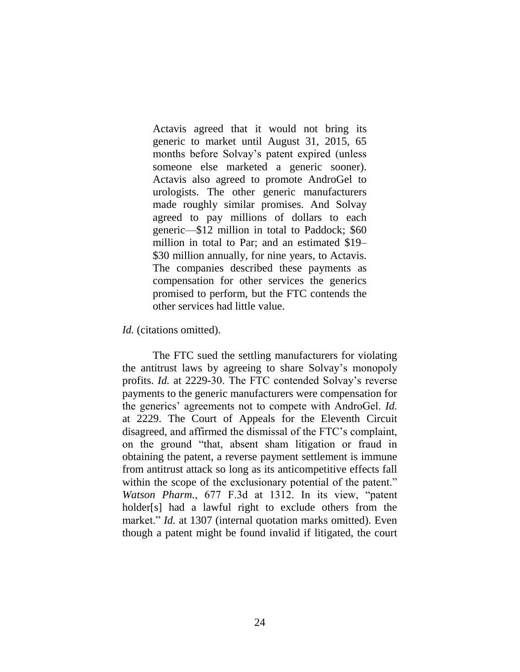Actavis agreed that it would not bring its generic to market until August 31, 2015, 65 months before Solvay's patent expired (unless someone else marketed a generic sooner). Actavis also agreed to promote AndroGel to urologists. The other generic manufacturers made roughly similar promises. And Solvay agreed to pay millions of dollars to each generic—\$12 million in total to Paddock; \$60 million in total to Par; and an estimated \$19– \$30 million annually, for nine years, to Actavis. The companies described these payments as compensation for other services the generics promised to perform, but the FTC contends the other services had little value.

*Id.* (citations omitted).

The FTC sued the settling manufacturers for violating the antitrust laws by agreeing to share Solvay's monopoly profits. *Id.* at 2229-30. The FTC contended Solvay's reverse payments to the generic manufacturers were compensation for the generics' agreements not to compete with AndroGel. *Id.* at 2229. The Court of Appeals for the Eleventh Circuit disagreed, and affirmed the dismissal of the FTC's complaint, on the ground "that, absent sham litigation or fraud in obtaining the patent, a reverse payment settlement is immune from antitrust attack so long as its anticompetitive effects fall within the scope of the exclusionary potential of the patent." *Watson Pharm.*, 677 F.3d at 1312. In its view, "patent holder[s] had a lawful right to exclude others from the market." *Id.* at 1307 (internal quotation marks omitted). Even though a patent might be found invalid if litigated, the court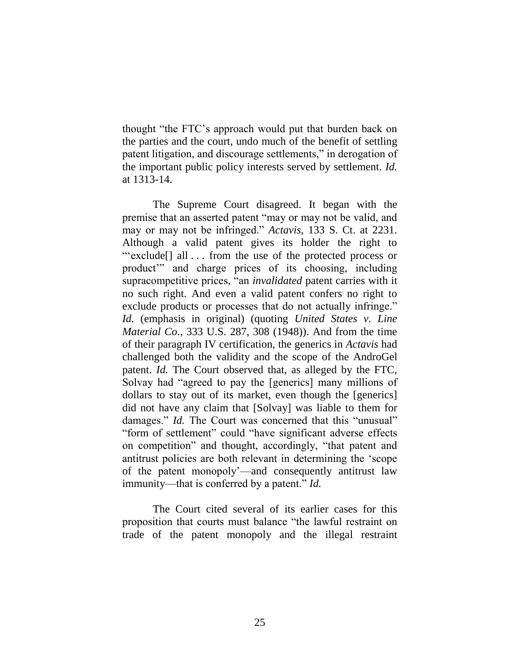thought "the FTC's approach would put that burden back on the parties and the court, undo much of the benefit of settling patent litigation, and discourage settlements," in derogation of the important public policy interests served by settlement. *Id.* at 1313-14.

The Supreme Court disagreed. It began with the premise that an asserted patent "may or may not be valid, and may or may not be infringed." *Actavis*, 133 S. Ct. at 2231. Although a valid patent gives its holder the right to "'exclude[] all . . . from the use of the protected process or product'" and charge prices of its choosing, including supracompetitive prices, "an *invalidated* patent carries with it no such right. And even a valid patent confers no right to exclude products or processes that do not actually infringe." *Id.* (emphasis in original) (quoting *United States v. Line Material Co.*, 333 U.S. 287, 308 (1948)). And from the time of their paragraph IV certification, the generics in *Actavis* had challenged both the validity and the scope of the AndroGel patent. *Id.* The Court observed that, as alleged by the FTC, Solvay had "agreed to pay the [generics] many millions of dollars to stay out of its market, even though the [generics] did not have any claim that [Solvay] was liable to them for damages." *Id.* The Court was concerned that this "unusual" "form of settlement" could "have significant adverse effects on competition" and thought, accordingly, "that patent and antitrust policies are both relevant in determining the 'scope of the patent monopoly'—and consequently antitrust law immunity—that is conferred by a patent." *Id.*

The Court cited several of its earlier cases for this proposition that courts must balance "the lawful restraint on trade of the patent monopoly and the illegal restraint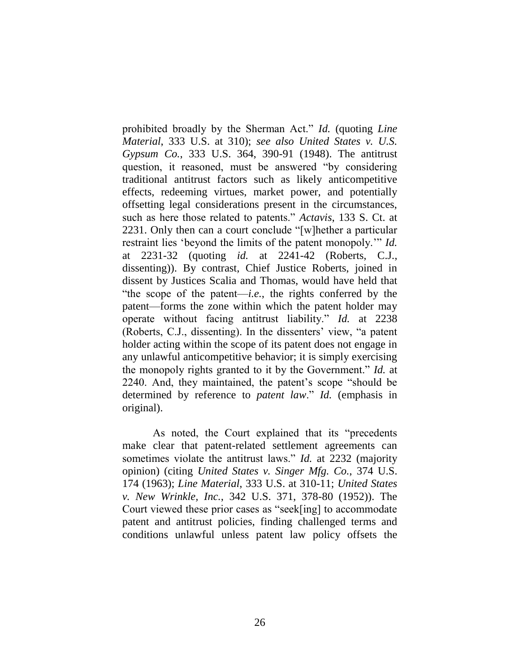prohibited broadly by the Sherman Act." *Id.* (quoting *Line Material*, 333 U.S. at 310); *see also United States v. U.S. Gypsum Co.*, 333 U.S. 364, 390-91 (1948). The antitrust question, it reasoned, must be answered "by considering traditional antitrust factors such as likely anticompetitive effects, redeeming virtues, market power, and potentially offsetting legal considerations present in the circumstances, such as here those related to patents." *Actavis*, 133 S. Ct. at 2231. Only then can a court conclude "[w]hether a particular restraint lies 'beyond the limits of the patent monopoly.'" *Id.* at 2231-32 (quoting *id.* at 2241-42 (Roberts, C.J., dissenting)). By contrast, Chief Justice Roberts, joined in dissent by Justices Scalia and Thomas, would have held that "the scope of the patent—*i.e.*, the rights conferred by the patent—forms the zone within which the patent holder may operate without facing antitrust liability." *Id.* at 2238 (Roberts, C.J., dissenting). In the dissenters' view, "a patent holder acting within the scope of its patent does not engage in any unlawful anticompetitive behavior; it is simply exercising the monopoly rights granted to it by the Government." *Id.* at 2240. And, they maintained, the patent's scope "should be determined by reference to *patent law*." *Id.* (emphasis in original).

As noted, the Court explained that its "precedents make clear that patent-related settlement agreements can sometimes violate the antitrust laws." *Id.* at 2232 (majority opinion) (citing *United States v. Singer Mfg. Co.*, 374 U.S. 174 (1963); *Line Material*, 333 U.S. at 310-11; *United States v. New Wrinkle, Inc.*, 342 U.S. 371, 378-80 (1952)). The Court viewed these prior cases as "seek[ing] to accommodate patent and antitrust policies, finding challenged terms and conditions unlawful unless patent law policy offsets the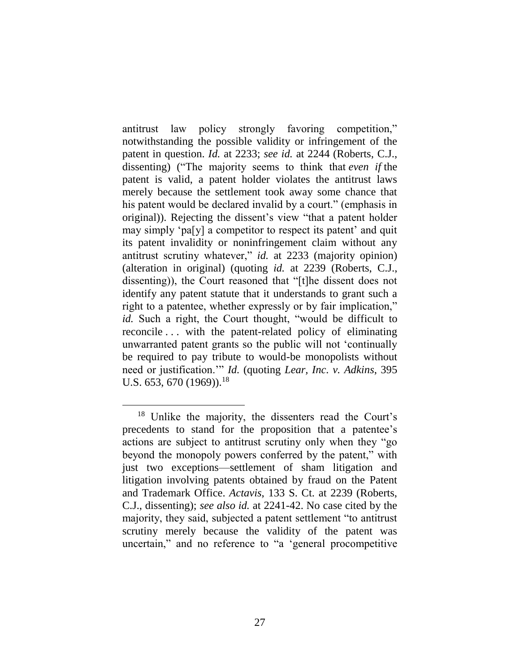antitrust law policy strongly favoring competition," notwithstanding the possible validity or infringement of the patent in question. *Id.* at 2233; *see id.* at 2244 (Roberts, C.J., dissenting) ("The majority seems to think that *even if* the patent is valid, a patent holder violates the antitrust laws merely because the settlement took away some chance that his patent would be declared invalid by a court." (emphasis in original)). Rejecting the dissent's view "that a patent holder may simply 'pa[y] a competitor to respect its patent' and quit its patent invalidity or noninfringement claim without any antitrust scrutiny whatever," *id.* at 2233 (majority opinion) (alteration in original) (quoting *id.* at 2239 (Roberts, C.J., dissenting)), the Court reasoned that "[t]he dissent does not identify any patent statute that it understands to grant such a right to a patentee, whether expressly or by fair implication," *id.* Such a right, the Court thought, "would be difficult to reconcile . . . with the patent-related policy of eliminating unwarranted patent grants so the public will not 'continually be required to pay tribute to would-be monopolists without need or justification.'" *Id.* (quoting *Lear, Inc. v. Adkins*, 395 U.S. 653, 670 (1969)).<sup>18</sup>

<sup>18</sup> Unlike the majority, the dissenters read the Court's precedents to stand for the proposition that a patentee's actions are subject to antitrust scrutiny only when they "go beyond the monopoly powers conferred by the patent," with just two exceptions—settlement of sham litigation and litigation involving patents obtained by fraud on the Patent and Trademark Office. *Actavis*, 133 S. Ct. at 2239 (Roberts, C.J., dissenting); *see also id.* at 2241-42. No case cited by the majority, they said, subjected a patent settlement "to antitrust scrutiny merely because the validity of the patent was uncertain," and no reference to "a 'general procompetitive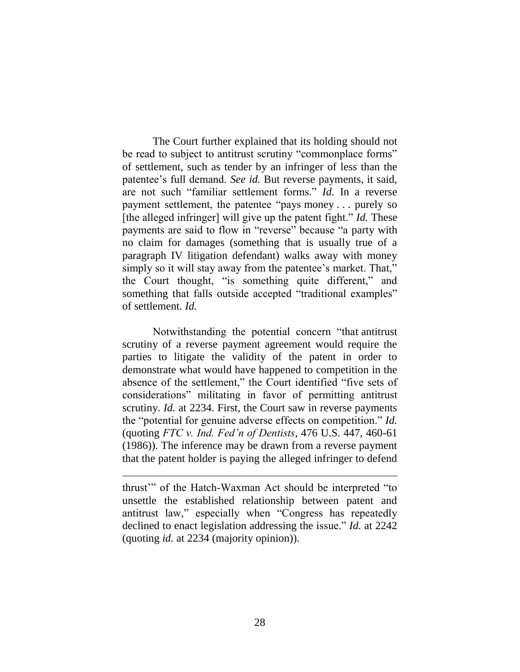The Court further explained that its holding should not be read to subject to antitrust scrutiny "commonplace forms" of settlement, such as tender by an infringer of less than the patentee's full demand. *See id.* But reverse payments, it said, are not such "familiar settlement forms." *Id.* In a reverse payment settlement, the patentee "pays money . . . purely so [the alleged infringer] will give up the patent fight." *Id.* These payments are said to flow in "reverse" because "a party with no claim for damages (something that is usually true of a paragraph IV litigation defendant) walks away with money simply so it will stay away from the patentee's market. That," the Court thought, "is something quite different," and something that falls outside accepted "traditional examples" of settlement. *Id.*

Notwithstanding the potential concern "that antitrust scrutiny of a reverse payment agreement would require the parties to litigate the validity of the patent in order to demonstrate what would have happened to competition in the absence of the settlement," the Court identified "five sets of considerations" militating in favor of permitting antitrust scrutiny. *Id.* at 2234. First, the Court saw in reverse payments the "potential for genuine adverse effects on competition." *Id.* (quoting *FTC v. Ind. Fed'n of Dentists*, 476 U.S. 447, 460-61 (1986)). The inference may be drawn from a reverse payment that the patent holder is paying the alleged infringer to defend

thrust'" of the Hatch-Waxman Act should be interpreted "to unsettle the established relationship between patent and antitrust law," especially when "Congress has repeatedly declined to enact legislation addressing the issue." *Id.* at 2242 (quoting *id.* at 2234 (majority opinion)).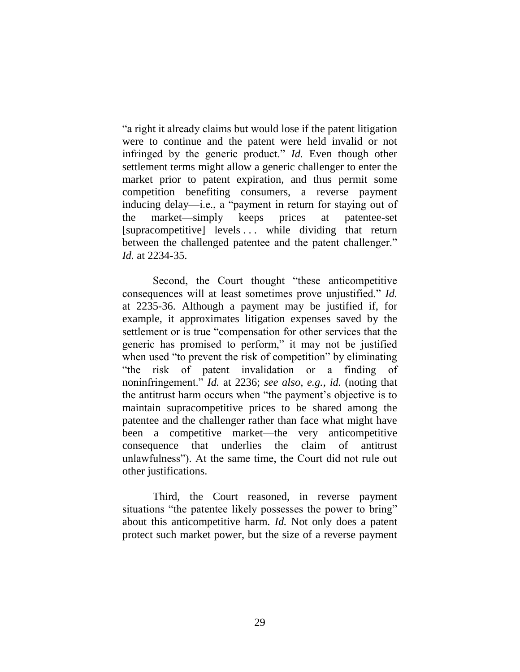"a right it already claims but would lose if the patent litigation were to continue and the patent were held invalid or not infringed by the generic product." *Id.* Even though other settlement terms might allow a generic challenger to enter the market prior to patent expiration, and thus permit some competition benefiting consumers, a reverse payment inducing delay—i.e., a "payment in return for staying out of the market—simply keeps prices at patentee-set [supracompetitive] levels ... while dividing that return between the challenged patentee and the patent challenger." *Id.* at 2234-35.

Second, the Court thought "these anticompetitive consequences will at least sometimes prove unjustified." *Id.* at 2235-36. Although a payment may be justified if, for example, it approximates litigation expenses saved by the settlement or is true "compensation for other services that the generic has promised to perform," it may not be justified when used "to prevent the risk of competition" by eliminating "the risk of patent invalidation or a finding of noninfringement." *Id.* at 2236; *see also, e.g.*, *id.* (noting that the antitrust harm occurs when "the payment's objective is to maintain supracompetitive prices to be shared among the patentee and the challenger rather than face what might have been a competitive market—the very anticompetitive consequence that underlies the claim of antitrust unlawfulness"). At the same time, the Court did not rule out other justifications.

Third, the Court reasoned, in reverse payment situations "the patentee likely possesses the power to bring" about this anticompetitive harm. *Id.* Not only does a patent protect such market power, but the size of a reverse payment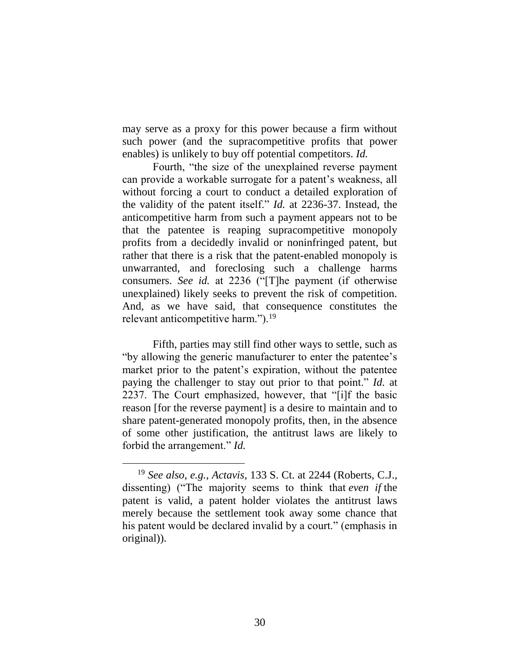may serve as a proxy for this power because a firm without such power (and the supracompetitive profits that power enables) is unlikely to buy off potential competitors. *Id.*

Fourth, "the size of the unexplained reverse payment can provide a workable surrogate for a patent's weakness, all without forcing a court to conduct a detailed exploration of the validity of the patent itself." *Id.* at 2236-37. Instead, the anticompetitive harm from such a payment appears not to be that the patentee is reaping supracompetitive monopoly profits from a decidedly invalid or noninfringed patent, but rather that there is a risk that the patent-enabled monopoly is unwarranted, and foreclosing such a challenge harms consumers. *See id.* at 2236 ("[T]he payment (if otherwise unexplained) likely seeks to prevent the risk of competition. And, as we have said, that consequence constitutes the relevant anticompetitive harm.").<sup>19</sup>

Fifth, parties may still find other ways to settle, such as "by allowing the generic manufacturer to enter the patentee's market prior to the patent's expiration, without the patentee paying the challenger to stay out prior to that point." *Id.* at 2237. The Court emphasized, however, that "[i]f the basic reason [for the reverse payment] is a desire to maintain and to share patent-generated monopoly profits, then, in the absence of some other justification, the antitrust laws are likely to forbid the arrangement." *Id.*

<sup>19</sup> *See also, e.g.*, *Actavis*, 133 S. Ct. at 2244 (Roberts, C.J., dissenting) ("The majority seems to think that *even if* the patent is valid, a patent holder violates the antitrust laws merely because the settlement took away some chance that his patent would be declared invalid by a court." (emphasis in original)).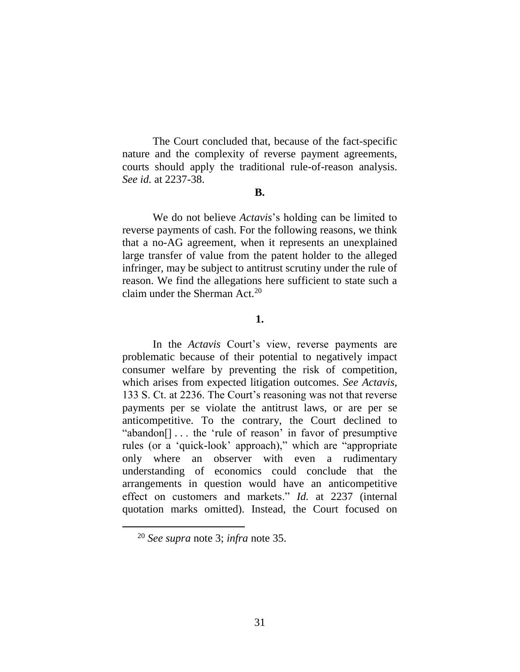The Court concluded that, because of the fact-specific nature and the complexity of reverse payment agreements, courts should apply the traditional rule-of-reason analysis. *See id.* at 2237-38.

#### **B.**

We do not believe *Actavis*'s holding can be limited to reverse payments of cash. For the following reasons, we think that a no-AG agreement, when it represents an unexplained large transfer of value from the patent holder to the alleged infringer, may be subject to antitrust scrutiny under the rule of reason. We find the allegations here sufficient to state such a claim under the Sherman Act. $20$ 

## <span id="page-30-0"></span>**1.**

In the *Actavis* Court's view, reverse payments are problematic because of their potential to negatively impact consumer welfare by preventing the risk of competition, which arises from expected litigation outcomes. *See Actavis*, 133 S. Ct. at 2236. The Court's reasoning was not that reverse payments per se violate the antitrust laws, or are per se anticompetitive. To the contrary, the Court declined to "abandon[] . . . the 'rule of reason' in favor of presumptive rules (or a 'quick-look' approach)," which are "appropriate only where an observer with even a rudimentary understanding of economics could conclude that the arrangements in question would have an anticompetitive effect on customers and markets." *Id.* at 2237 (internal quotation marks omitted). Instead, the Court focused on

<sup>20</sup> *See supra* note [3;](#page-7-0) *infra* note [35.](#page-45-0)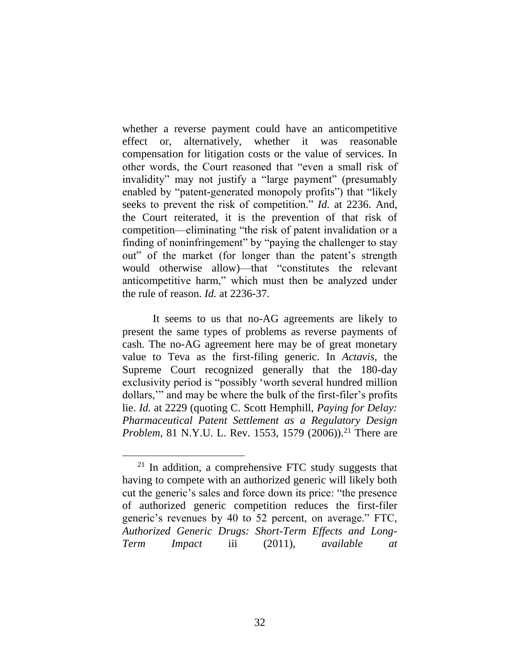whether a reverse payment could have an anticompetitive effect or, alternatively, whether it was reasonable compensation for litigation costs or the value of services. In other words, the Court reasoned that "even a small risk of invalidity" may not justify a "large payment" (presumably enabled by "patent-generated monopoly profits") that "likely seeks to prevent the risk of competition." *Id.* at 2236. And, the Court reiterated, it is the prevention of that risk of competition—eliminating "the risk of patent invalidation or a finding of noninfringement" by "paying the challenger to stay out" of the market (for longer than the patent's strength would otherwise allow)—that "constitutes the relevant anticompetitive harm," which must then be analyzed under the rule of reason. *Id.* at 2236-37.

It seems to us that no-AG agreements are likely to present the same types of problems as reverse payments of cash. The no-AG agreement here may be of great monetary value to Teva as the first-filing generic. In *Actavis*, the Supreme Court recognized generally that the 180-day exclusivity period is "possibly 'worth several hundred million dollars,'" and may be where the bulk of the first-filer's profits lie. *Id.* at 2229 (quoting C. Scott Hemphill, *Paying for Delay: Pharmaceutical Patent Settlement as a Regulatory Design Problem*, 81 N.Y.U. L. Rev. 1553, 1579 (2006)).<sup>21</sup> There are

 $21$  In addition, a comprehensive FTC study suggests that having to compete with an authorized generic will likely both cut the generic's sales and force down its price: "the presence of authorized generic competition reduces the first-filer generic's revenues by 40 to 52 percent, on average." FTC, *Authorized Generic Drugs: Short-Term Effects and Long-Term Impact* iii (2011), *available at*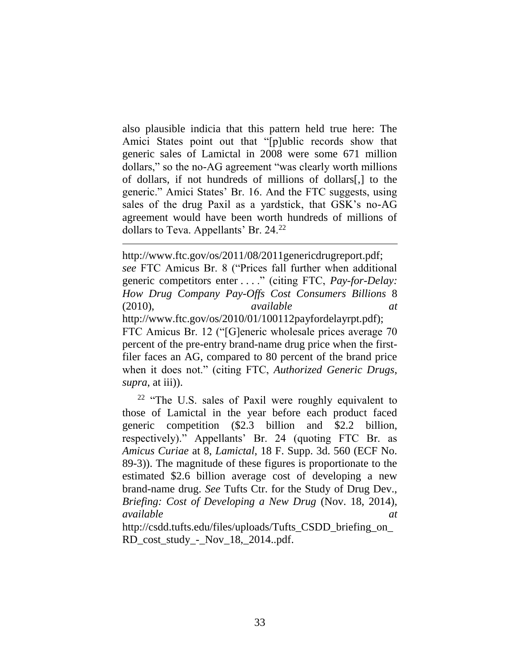also plausible indicia that this pattern held true here: The Amici States point out that "[p]ublic records show that generic sales of Lamictal in 2008 were some 671 million dollars," so the no-AG agreement "was clearly worth millions of dollars, if not hundreds of millions of dollars[,] to the generic." Amici States' Br. 16. And the FTC suggests, using sales of the drug Paxil as a yardstick, that GSK's no-AG agreement would have been worth hundreds of millions of dollars to Teva. Appellants' Br. 24.<sup>22</sup>

 $\overline{a}$ 

http://www.ftc.gov/os/2011/08/2011genericdrugreport.pdf; *see* FTC Amicus Br. 8 ("Prices fall further when additional generic competitors enter . . . ." (citing FTC, *Pay-for-Delay: How Drug Company Pay-Offs Cost Consumers Billions* 8 (2010), *available at* http://www.ftc.gov/os/2010/01/100112payfordelayrpt.pdf); FTC Amicus Br. 12 ("[G]eneric wholesale prices average 70 percent of the pre-entry brand-name drug price when the firstfiler faces an AG, compared to 80 percent of the brand price when it does not." (citing FTC, *Authorized Generic Drugs*, *supra*, at iii)).

<sup>22</sup> "The U.S. sales of Paxil were roughly equivalent to those of Lamictal in the year before each product faced generic competition (\$2.3 billion and \$2.2 billion, respectively)." Appellants' Br. 24 (quoting FTC Br. as *Amicus Curiae* at 8, *Lamictal*, 18 F. Supp. 3d. 560 (ECF No. 89-3)). The magnitude of these figures is proportionate to the estimated \$2.6 billion average cost of developing a new brand-name drug. *See* Tufts Ctr. for the Study of Drug Dev., *Briefing: Cost of Developing a New Drug* (Nov. 18, 2014), *available at*

http://csdd.tufts.edu/files/uploads/Tufts\_CSDD\_briefing\_on\_ RD\_cost\_study\_-\_Nov\_18,\_2014..pdf.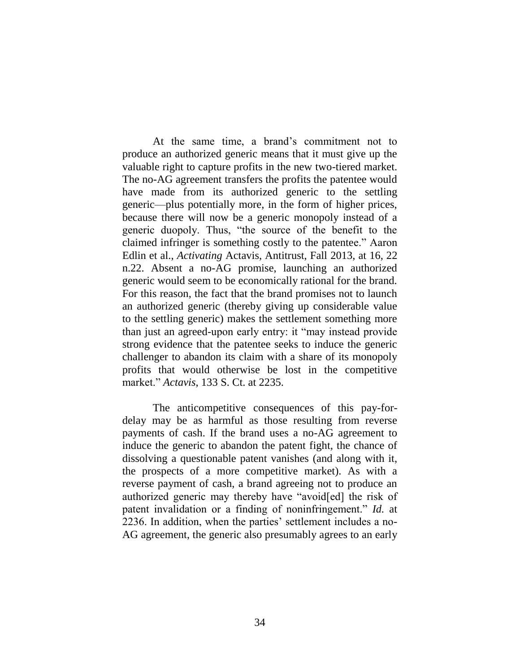At the same time, a brand's commitment not to produce an authorized generic means that it must give up the valuable right to capture profits in the new two-tiered market. The no-AG agreement transfers the profits the patentee would have made from its authorized generic to the settling generic—plus potentially more, in the form of higher prices, because there will now be a generic monopoly instead of a generic duopoly. Thus, "the source of the benefit to the claimed infringer is something costly to the patentee." Aaron Edlin et al., *Activating* Actavis, Antitrust, Fall 2013, at 16, 22 n.22. Absent a no-AG promise, launching an authorized generic would seem to be economically rational for the brand. For this reason, the fact that the brand promises not to launch an authorized generic (thereby giving up considerable value to the settling generic) makes the settlement something more than just an agreed-upon early entry: it "may instead provide strong evidence that the patentee seeks to induce the generic challenger to abandon its claim with a share of its monopoly profits that would otherwise be lost in the competitive market." *Actavis*, 133 S. Ct. at 2235.

The anticompetitive consequences of this pay-fordelay may be as harmful as those resulting from reverse payments of cash. If the brand uses a no-AG agreement to induce the generic to abandon the patent fight, the chance of dissolving a questionable patent vanishes (and along with it, the prospects of a more competitive market). As with a reverse payment of cash, a brand agreeing not to produce an authorized generic may thereby have "avoid[ed] the risk of patent invalidation or a finding of noninfringement." *Id.* at 2236. In addition, when the parties' settlement includes a no-AG agreement, the generic also presumably agrees to an early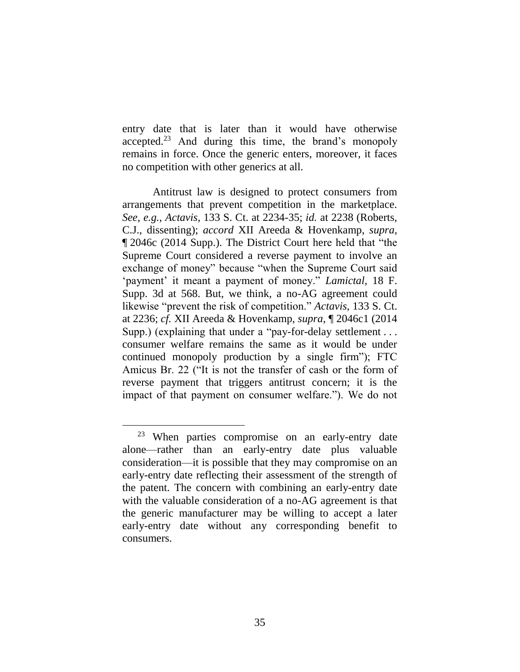entry date that is later than it would have otherwise accepted.<sup>23</sup> And during this time, the brand's monopoly remains in force. Once the generic enters, moreover, it faces no competition with other generics at all.

Antitrust law is designed to protect consumers from arrangements that prevent competition in the marketplace. *See, e.g.*, *Actavis*, 133 S. Ct. at 2234-35; *id.* at 2238 (Roberts, C.J., dissenting); *accord* XII Areeda & Hovenkamp, *supra*, ¶ 2046c (2014 Supp.). The District Court here held that "the Supreme Court considered a reverse payment to involve an exchange of money" because "when the Supreme Court said 'payment' it meant a payment of money." *Lamictal*, 18 F. Supp. 3d at 568. But, we think, a no-AG agreement could likewise "prevent the risk of competition." *Actavis*, 133 S. Ct. at 2236; *cf.* XII Areeda & Hovenkamp, *supra*, ¶ 2046c1 (2014 Supp.) (explaining that under a "pay-for-delay settlement... consumer welfare remains the same as it would be under continued monopoly production by a single firm"); FTC Amicus Br. 22 ("It is not the transfer of cash or the form of reverse payment that triggers antitrust concern; it is the impact of that payment on consumer welfare."). We do not

<sup>23</sup> When parties compromise on an early-entry date alone—rather than an early-entry date plus valuable consideration—it is possible that they may compromise on an early-entry date reflecting their assessment of the strength of the patent. The concern with combining an early-entry date with the valuable consideration of a no-AG agreement is that the generic manufacturer may be willing to accept a later early-entry date without any corresponding benefit to consumers.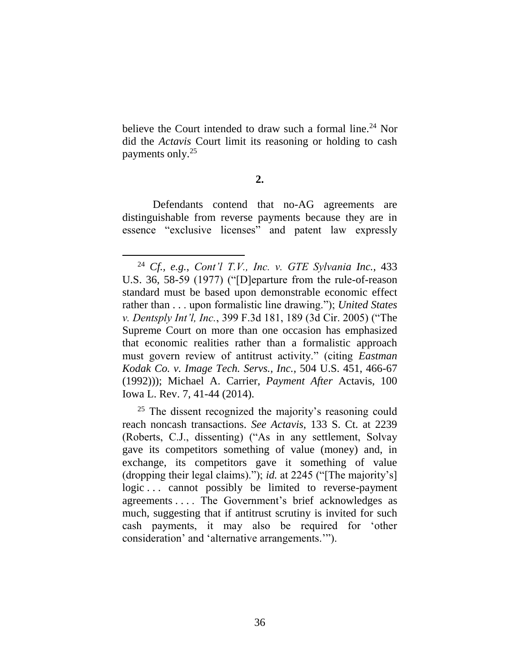believe the Court intended to draw such a formal line.<sup>24</sup> Nor did the *Actavis* Court limit its reasoning or holding to cash payments only.<sup>25</sup>

## **2.**

Defendants contend that no-AG agreements are distinguishable from reverse payments because they are in essence "exclusive licenses" and patent law expressly

<sup>25</sup> The dissent recognized the majority's reasoning could reach noncash transactions. *See Actavis*, 133 S. Ct. at 2239 (Roberts, C.J., dissenting) ("As in any settlement, Solvay gave its competitors something of value (money) and, in exchange, its competitors gave it something of value (dropping their legal claims)."); *id.* at 2245 ("[The majority's] logic ... cannot possibly be limited to reverse-payment agreements . . . . The Government's brief acknowledges as much, suggesting that if antitrust scrutiny is invited for such cash payments, it may also be required for 'other consideration' and 'alternative arrangements.'").

 $\overline{a}$ <sup>24</sup> *Cf., e.g.*, *Cont'l T.V., Inc. v. GTE Sylvania Inc.*, 433 U.S. 36, 58-59 (1977) ("[D]eparture from the rule-of-reason standard must be based upon demonstrable economic effect rather than . . . upon formalistic line drawing."); *United States v. Dentsply Int'l, Inc.*, 399 F.3d 181, 189 (3d Cir. 2005) ("The Supreme Court on more than one occasion has emphasized that economic realities rather than a formalistic approach must govern review of antitrust activity." (citing *Eastman Kodak Co. v. Image Tech. Servs., Inc.*, 504 U.S. 451, 466-67 (1992))); Michael A. Carrier, *Payment After* Actavis, 100 Iowa L. Rev. 7, 41-44 (2014).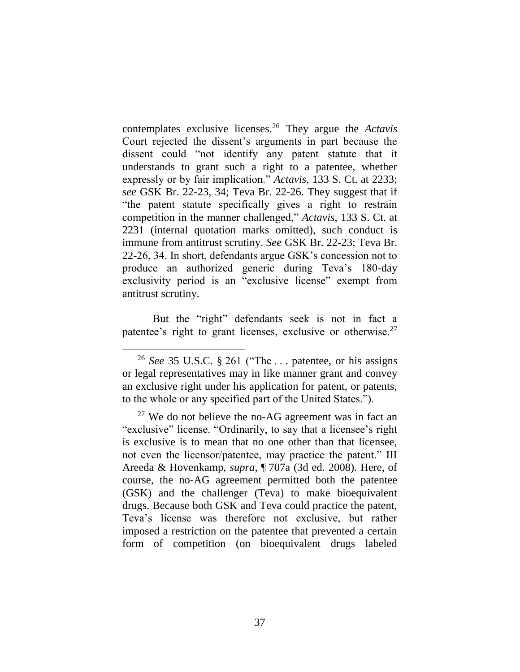contemplates exclusive licenses.<sup>26</sup> They argue the *Actavis* Court rejected the dissent's arguments in part because the dissent could "not identify any patent statute that it understands to grant such a right to a patentee, whether expressly or by fair implication." *Actavis*, 133 S. Ct. at 2233; *see* GSK Br. 22-23, 34; Teva Br. 22-26. They suggest that if "the patent statute specifically gives a right to restrain competition in the manner challenged," *Actavis*, 133 S. Ct. at 2231 (internal quotation marks omitted), such conduct is immune from antitrust scrutiny. *See* GSK Br. 22-23; Teva Br. 22-26, 34. In short, defendants argue GSK's concession not to produce an authorized generic during Teva's 180-day exclusivity period is an "exclusive license" exempt from antitrust scrutiny.

But the "right" defendants seek is not in fact a patentee's right to grant licenses, exclusive or otherwise.<sup>27</sup>

<sup>26</sup> *See* 35 U.S.C. § 261 ("The . . . patentee, or his assigns or legal representatives may in like manner grant and convey an exclusive right under his application for patent, or patents, to the whole or any specified part of the United States.").

 $27$  We do not believe the no-AG agreement was in fact an "exclusive" license. "Ordinarily, to say that a licensee's right is exclusive is to mean that no one other than that licensee, not even the licensor/patentee, may practice the patent." III Areeda & Hovenkamp, *supra*, ¶ 707a (3d ed. 2008). Here, of course, the no-AG agreement permitted both the patentee (GSK) and the challenger (Teva) to make bioequivalent drugs. Because both GSK and Teva could practice the patent, Teva's license was therefore not exclusive, but rather imposed a restriction on the patentee that prevented a certain form of competition (on bioequivalent drugs labeled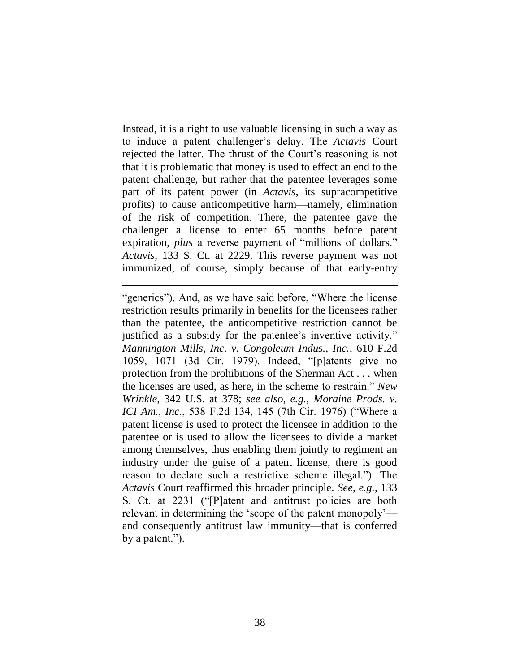Instead, it is a right to use valuable licensing in such a way as to induce a patent challenger's delay. The *Actavis* Court rejected the latter. The thrust of the Court's reasoning is not that it is problematic that money is used to effect an end to the patent challenge, but rather that the patentee leverages some part of its patent power (in *Actavis*, its supracompetitive profits) to cause anticompetitive harm—namely, elimination of the risk of competition. There, the patentee gave the challenger a license to enter 65 months before patent expiration, *plus* a reverse payment of "millions of dollars." *Actavis*, 133 S. Ct. at 2229. This reverse payment was not immunized, of course, simply because of that early-entry

<sup>&</sup>quot;generics"). And, as we have said before, "Where the license restriction results primarily in benefits for the licensees rather than the patentee, the anticompetitive restriction cannot be justified as a subsidy for the patentee's inventive activity." *Mannington Mills, Inc. v. Congoleum Indus., Inc.*, 610 F.2d 1059, 1071 (3d Cir. 1979). Indeed, "[p]atents give no protection from the prohibitions of the Sherman Act . . . when the licenses are used, as here, in the scheme to restrain." *New Wrinkle*, 342 U.S. at 378; *see also, e.g.*, *Moraine Prods. v. ICI Am., Inc.*, 538 F.2d 134, 145 (7th Cir. 1976) ("Where a patent license is used to protect the licensee in addition to the patentee or is used to allow the licensees to divide a market among themselves, thus enabling them jointly to regiment an industry under the guise of a patent license, there is good reason to declare such a restrictive scheme illegal."). The *Actavis* Court reaffirmed this broader principle. *See, e.g.*, 133 S. Ct. at 2231 ("[P]atent and antitrust policies are both relevant in determining the 'scope of the patent monopoly' and consequently antitrust law immunity—that is conferred by a patent.").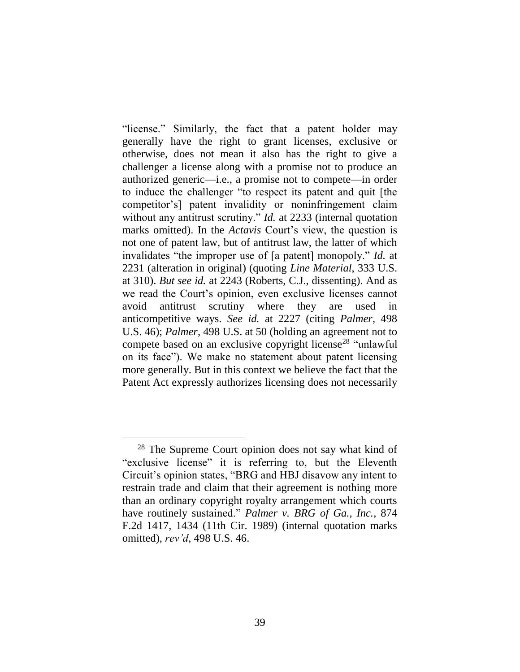"license." Similarly, the fact that a patent holder may generally have the right to grant licenses, exclusive or otherwise, does not mean it also has the right to give a challenger a license along with a promise not to produce an authorized generic—i.e., a promise not to compete—in order to induce the challenger "to respect its patent and quit [the competitor's] patent invalidity or noninfringement claim without any antitrust scrutiny." *Id.* at 2233 (internal quotation marks omitted). In the *Actavis* Court's view, the question is not one of patent law, but of antitrust law, the latter of which invalidates "the improper use of [a patent] monopoly." *Id.* at 2231 (alteration in original) (quoting *Line Material*, 333 U.S. at 310). *But see id.* at 2243 (Roberts, C.J., dissenting). And as we read the Court's opinion, even exclusive licenses cannot avoid antitrust scrutiny where they are used in anticompetitive ways. *See id.* at 2227 (citing *Palmer*, 498 U.S. 46); *Palmer*, 498 U.S. at 50 (holding an agreement not to compete based on an exclusive copyright license<sup>28</sup> "unlawful" on its face"). We make no statement about patent licensing more generally. But in this context we believe the fact that the Patent Act expressly authorizes licensing does not necessarily

<sup>&</sup>lt;sup>28</sup> The Supreme Court opinion does not say what kind of "exclusive license" it is referring to, but the Eleventh Circuit's opinion states, "BRG and HBJ disavow any intent to restrain trade and claim that their agreement is nothing more than an ordinary copyright royalty arrangement which courts have routinely sustained." *Palmer v. BRG of Ga., Inc.*, 874 F.2d 1417, 1434 (11th Cir. 1989) (internal quotation marks omitted), *rev'd*, 498 U.S. 46.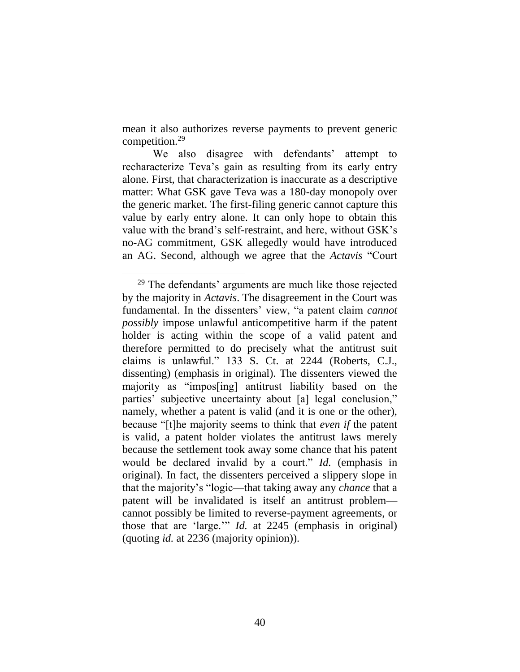mean it also authorizes reverse payments to prevent generic competition.<sup>29</sup>

We also disagree with defendants' attempt to recharacterize Teva's gain as resulting from its early entry alone. First, that characterization is inaccurate as a descriptive matter: What GSK gave Teva was a 180-day monopoly over the generic market. The first-filing generic cannot capture this value by early entry alone. It can only hope to obtain this value with the brand's self-restraint, and here, without GSK's no-AG commitment, GSK allegedly would have introduced an AG. Second, although we agree that the *Actavis* "Court

<sup>&</sup>lt;sup>29</sup> The defendants' arguments are much like those rejected by the majority in *Actavis*. The disagreement in the Court was fundamental. In the dissenters' view, "a patent claim *cannot possibly* impose unlawful anticompetitive harm if the patent holder is acting within the scope of a valid patent and therefore permitted to do precisely what the antitrust suit claims is unlawful." 133 S. Ct. at 2244 (Roberts, C.J., dissenting) (emphasis in original). The dissenters viewed the majority as "impos[ing] antitrust liability based on the parties' subjective uncertainty about [a] legal conclusion," namely, whether a patent is valid (and it is one or the other), because "[t]he majority seems to think that *even if* the patent is valid, a patent holder violates the antitrust laws merely because the settlement took away some chance that his patent would be declared invalid by a court." *Id.* (emphasis in original). In fact, the dissenters perceived a slippery slope in that the majority's "logic—that taking away any *chance* that a patent will be invalidated is itself an antitrust problem cannot possibly be limited to reverse-payment agreements, or those that are 'large.'" *Id.* at 2245 (emphasis in original) (quoting *id.* at 2236 (majority opinion)).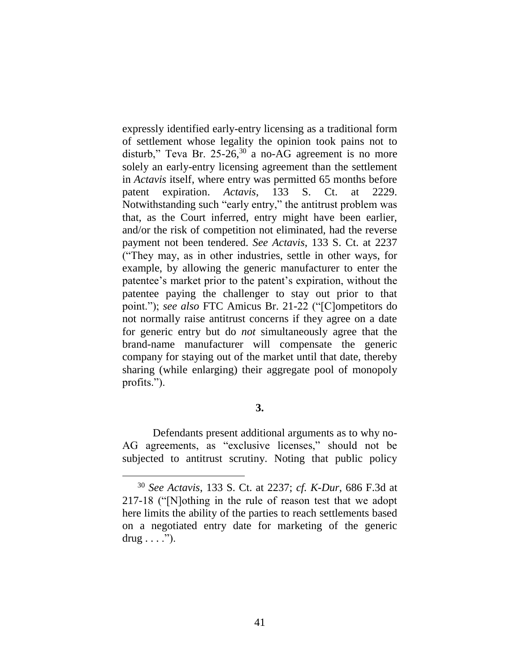expressly identified early-entry licensing as a traditional form of settlement whose legality the opinion took pains not to disturb," Teva Br.  $25{\text -}26,30$  a no-AG agreement is no more solely an early-entry licensing agreement than the settlement in *Actavis* itself, where entry was permitted 65 months before patent expiration. *Actavis*, 133 S. Ct. at 2229. Notwithstanding such "early entry," the antitrust problem was that, as the Court inferred, entry might have been earlier, and/or the risk of competition not eliminated, had the reverse payment not been tendered. *See Actavis*, 133 S. Ct. at 2237 ("They may, as in other industries, settle in other ways, for example, by allowing the generic manufacturer to enter the patentee's market prior to the patent's expiration, without the patentee paying the challenger to stay out prior to that point."); *see also* FTC Amicus Br. 21-22 ("[C]ompetitors do not normally raise antitrust concerns if they agree on a date for generic entry but do *not* simultaneously agree that the brand-name manufacturer will compensate the generic company for staying out of the market until that date, thereby sharing (while enlarging) their aggregate pool of monopoly profits.").

# **3.**

Defendants present additional arguments as to why no-AG agreements, as "exclusive licenses," should not be subjected to antitrust scrutiny. Noting that public policy

<sup>30</sup> *See Actavis*, 133 S. Ct. at 2237; *cf. K-Dur*, 686 F.3d at 217-18 ("[N]othing in the rule of reason test that we adopt here limits the ability of the parties to reach settlements based on a negotiated entry date for marketing of the generic  $drug \dots$ ").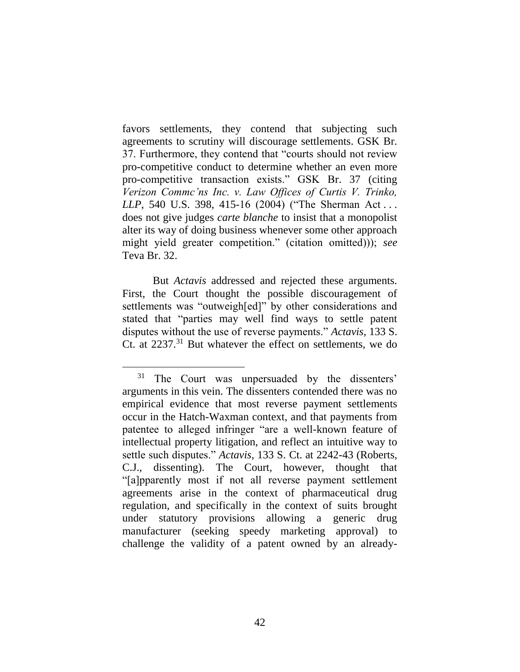favors settlements, they contend that subjecting such agreements to scrutiny will discourage settlements. GSK Br. 37. Furthermore, they contend that "courts should not review pro-competitive conduct to determine whether an even more pro-competitive transaction exists." GSK Br. 37 (citing *Verizon Commc'ns Inc. v. Law Offices of Curtis V. Trinko, LLP*, 540 U.S. 398, 415-16 (2004) ("The Sherman Act . . . does not give judges *carte blanche* to insist that a monopolist alter its way of doing business whenever some other approach might yield greater competition." (citation omitted))); *see* Teva Br. 32.

But *Actavis* addressed and rejected these arguments. First, the Court thought the possible discouragement of settlements was "outweigh[ed]" by other considerations and stated that "parties may well find ways to settle patent disputes without the use of reverse payments." *Actavis*, 133 S. Ct. at 2237.<sup>31</sup> But whatever the effect on settlements, we do

<sup>31</sup> The Court was unpersuaded by the dissenters' arguments in this vein. The dissenters contended there was no empirical evidence that most reverse payment settlements occur in the Hatch-Waxman context, and that payments from patentee to alleged infringer "are a well-known feature of intellectual property litigation, and reflect an intuitive way to settle such disputes." *Actavis*, 133 S. Ct. at 2242-43 (Roberts, C.J., dissenting). The Court, however, thought that "[a]pparently most if not all reverse payment settlement agreements arise in the context of pharmaceutical drug regulation, and specifically in the context of suits brought under statutory provisions allowing a generic drug manufacturer (seeking speedy marketing approval) to challenge the validity of a patent owned by an already-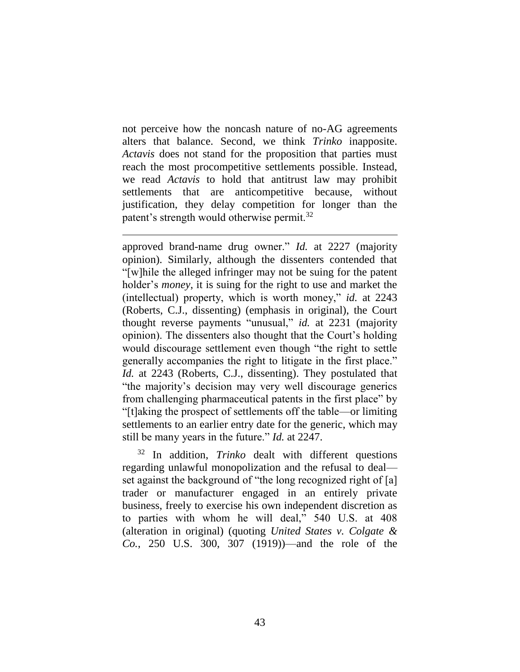not perceive how the noncash nature of no-AG agreements alters that balance. Second, we think *Trinko* inapposite. *Actavis* does not stand for the proposition that parties must reach the most procompetitive settlements possible. Instead, we read *Actavis* to hold that antitrust law may prohibit settlements that are anticompetitive because, without justification, they delay competition for longer than the patent's strength would otherwise permit.<sup>32</sup>

 $\overline{a}$ 

approved brand-name drug owner." *Id.* at 2227 (majority opinion). Similarly, although the dissenters contended that "[w]hile the alleged infringer may not be suing for the patent holder's *money*, it is suing for the right to use and market the (intellectual) property, which is worth money," *id.* at 2243 (Roberts, C.J., dissenting) (emphasis in original), the Court thought reverse payments "unusual," *id.* at 2231 (majority opinion). The dissenters also thought that the Court's holding would discourage settlement even though "the right to settle generally accompanies the right to litigate in the first place." *Id.* at 2243 (Roberts, C.J., dissenting). They postulated that "the majority's decision may very well discourage generics from challenging pharmaceutical patents in the first place" by "[t]aking the prospect of settlements off the table—or limiting settlements to an earlier entry date for the generic, which may still be many years in the future." *Id.* at 2247.

<sup>32</sup> In addition, *Trinko* dealt with different questions regarding unlawful monopolization and the refusal to deal set against the background of "the long recognized right of [a] trader or manufacturer engaged in an entirely private business, freely to exercise his own independent discretion as to parties with whom he will deal," 540 U.S. at 408 (alteration in original) (quoting *United States v. Colgate & Co.*, 250 U.S. 300, 307 (1919))—and the role of the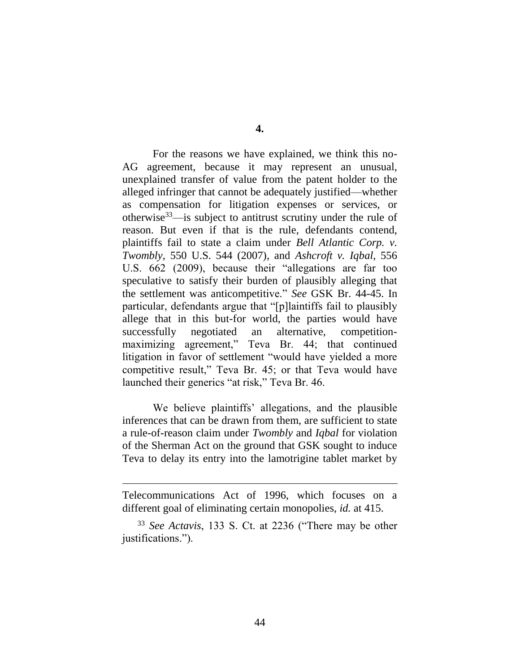**4.**

For the reasons we have explained, we think this no-AG agreement, because it may represent an unusual, unexplained transfer of value from the patent holder to the alleged infringer that cannot be adequately justified—whether as compensation for litigation expenses or services, or otherwise $33$ —is subject to antitrust scrutiny under the rule of reason. But even if that is the rule, defendants contend, plaintiffs fail to state a claim under *Bell Atlantic Corp. v. Twombly*, 550 U.S. 544 (2007), and *Ashcroft v. Iqbal*, 556 U.S. 662 (2009), because their "allegations are far too speculative to satisfy their burden of plausibly alleging that the settlement was anticompetitive." *See* GSK Br. 44-45. In particular, defendants argue that "[p]laintiffs fail to plausibly allege that in this but-for world, the parties would have successfully negotiated an alternative, competitionmaximizing agreement," Teva Br. 44; that continued litigation in favor of settlement "would have yielded a more competitive result," Teva Br. 45; or that Teva would have launched their generics "at risk," Teva Br. 46.

We believe plaintiffs' allegations, and the plausible inferences that can be drawn from them, are sufficient to state a rule-of-reason claim under *Twombly* and *Iqbal* for violation of the Sherman Act on the ground that GSK sought to induce Teva to delay its entry into the lamotrigine tablet market by

Telecommunications Act of 1996, which focuses on a different goal of eliminating certain monopolies, *id.* at 415.

<sup>33</sup> *See Actavis*, 133 S. Ct. at 2236 ("There may be other justifications.").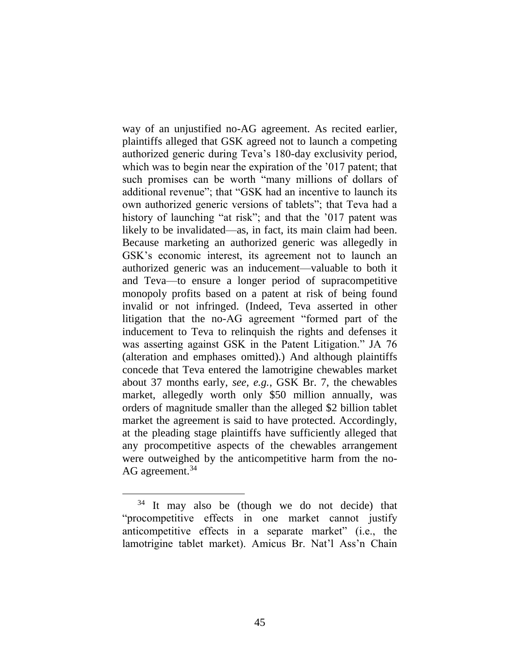way of an unjustified no-AG agreement. As recited earlier, plaintiffs alleged that GSK agreed not to launch a competing authorized generic during Teva's 180-day exclusivity period, which was to begin near the expiration of the '017 patent; that such promises can be worth "many millions of dollars of additional revenue"; that "GSK had an incentive to launch its own authorized generic versions of tablets"; that Teva had a history of launching "at risk"; and that the '017 patent was likely to be invalidated—as, in fact, its main claim had been. Because marketing an authorized generic was allegedly in GSK's economic interest, its agreement not to launch an authorized generic was an inducement—valuable to both it and Teva—to ensure a longer period of supracompetitive monopoly profits based on a patent at risk of being found invalid or not infringed. (Indeed, Teva asserted in other litigation that the no-AG agreement "formed part of the inducement to Teva to relinquish the rights and defenses it was asserting against GSK in the Patent Litigation." JA 76 (alteration and emphases omitted).) And although plaintiffs concede that Teva entered the lamotrigine chewables market about 37 months early, *see, e.g.*, GSK Br. 7, the chewables market, allegedly worth only \$50 million annually, was orders of magnitude smaller than the alleged \$2 billion tablet market the agreement is said to have protected. Accordingly, at the pleading stage plaintiffs have sufficiently alleged that any procompetitive aspects of the chewables arrangement were outweighed by the anticompetitive harm from the no-AG agreement.<sup>34</sup>

<sup>&</sup>lt;sup>34</sup> It may also be (though we do not decide) that "procompetitive effects in one market cannot justify anticompetitive effects in a separate market" (i.e., the lamotrigine tablet market). Amicus Br. Nat'l Ass'n Chain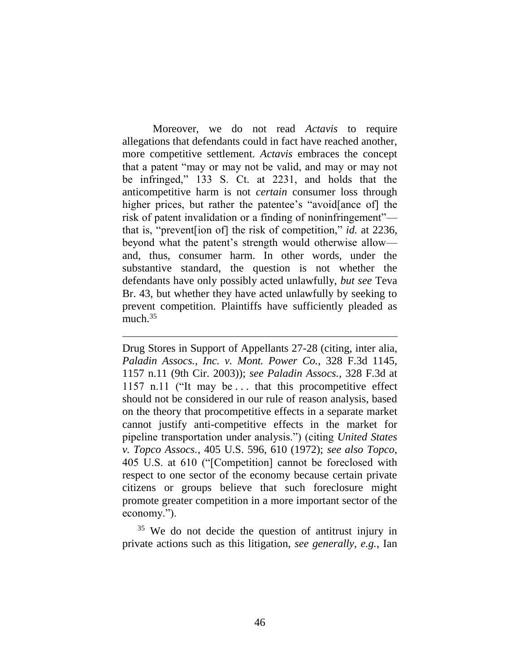Moreover, we do not read *Actavis* to require allegations that defendants could in fact have reached another, more competitive settlement. *Actavis* embraces the concept that a patent "may or may not be valid, and may or may not be infringed," 133 S. Ct. at 2231, and holds that the anticompetitive harm is not *certain* consumer loss through higher prices, but rather the patentee's "avoid[ance of] the risk of patent invalidation or a finding of noninfringement" that is, "prevent[ion of] the risk of competition," *id.* at 2236, beyond what the patent's strength would otherwise allow and, thus, consumer harm. In other words, under the substantive standard, the question is not whether the defendants have only possibly acted unlawfully, *but see* Teva Br. 43, but whether they have acted unlawfully by seeking to prevent competition. Plaintiffs have sufficiently pleaded as much. $35$ 

Drug Stores in Support of Appellants 27-28 (citing, inter alia, *Paladin Assocs., Inc. v. Mont. Power Co.*, 328 F.3d 1145, 1157 n.11 (9th Cir. 2003)); *see Paladin Assocs.*, 328 F.3d at 1157 n.11 ("It may be . . . that this procompetitive effect should not be considered in our rule of reason analysis, based on the theory that procompetitive effects in a separate market cannot justify anti-competitive effects in the market for pipeline transportation under analysis.") (citing *United States v. Topco Assocs.*, 405 U.S. 596, 610 (1972); *see also Topco*, 405 U.S. at 610 ("[Competition] cannot be foreclosed with respect to one sector of the economy because certain private citizens or groups believe that such foreclosure might promote greater competition in a more important sector of the economy.").

<span id="page-45-0"></span> $\overline{a}$ 

<sup>35</sup> We do not decide the question of antitrust injury in private actions such as this litigation, *see generally, e.g.*, Ian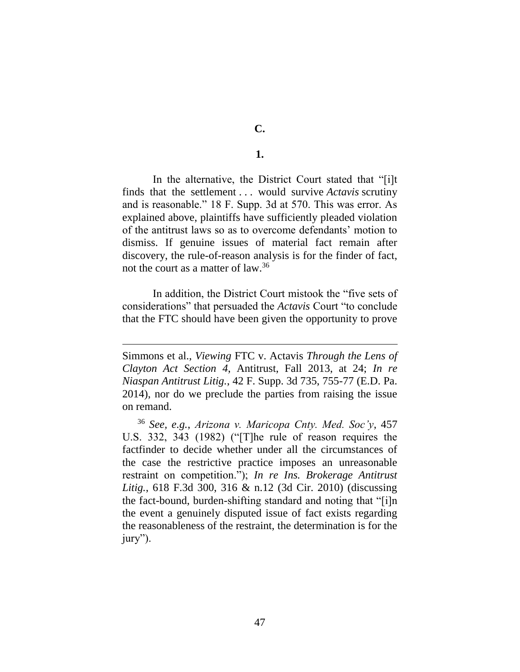**C.**

# **1.**

In the alternative, the District Court stated that "[i]t finds that the settlement . . . would survive *Actavis* scrutiny and is reasonable." 18 F. Supp. 3d at 570. This was error. As explained above, plaintiffs have sufficiently pleaded violation of the antitrust laws so as to overcome defendants' motion to dismiss. If genuine issues of material fact remain after discovery, the rule-of-reason analysis is for the finder of fact, not the court as a matter of law.<sup>36</sup>

In addition, the District Court mistook the "five sets of considerations" that persuaded the *Actavis* Court "to conclude that the FTC should have been given the opportunity to prove

Simmons et al., *Viewing* FTC v. Actavis *Through the Lens of Clayton Act Section 4*, Antitrust, Fall 2013, at 24; *In re Niaspan Antitrust Litig.*, 42 F. Supp. 3d 735, 755-77 (E.D. Pa. 2014), nor do we preclude the parties from raising the issue on remand.

<sup>36</sup> *See, e.g.*, *Arizona v. Maricopa Cnty. Med. Soc'y*, 457 U.S. 332, 343 (1982) ("[T]he rule of reason requires the factfinder to decide whether under all the circumstances of the case the restrictive practice imposes an unreasonable restraint on competition."); *In re Ins. Brokerage Antitrust Litig.*, 618 F.3d 300, 316 & n.12 (3d Cir. 2010) (discussing the fact-bound, burden-shifting standard and noting that "[i]n the event a genuinely disputed issue of fact exists regarding the reasonableness of the restraint, the determination is for the jury").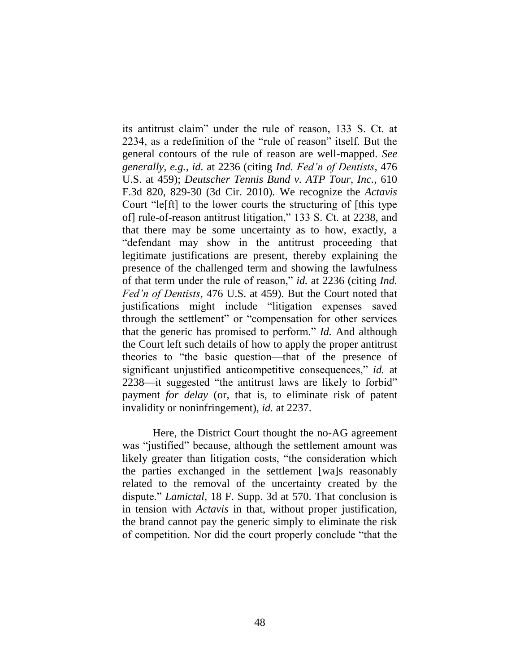its antitrust claim" under the rule of reason, 133 S. Ct. at 2234, as a redefinition of the "rule of reason" itself. But the general contours of the rule of reason are well-mapped. *See generally, e.g.*, *id.* at 2236 (citing *Ind. Fed'n of Dentists*, 476 U.S. at 459); *Deutscher Tennis Bund v. ATP Tour, Inc.*, 610 F.3d 820, 829-30 (3d Cir. 2010). We recognize the *Actavis* Court "le[ft] to the lower courts the structuring of [this type of] rule-of-reason antitrust litigation," 133 S. Ct. at 2238, and that there may be some uncertainty as to how, exactly, a "defendant may show in the antitrust proceeding that legitimate justifications are present, thereby explaining the presence of the challenged term and showing the lawfulness of that term under the rule of reason," *id.* at 2236 (citing *Ind. Fed'n of Dentists*, 476 U.S. at 459). But the Court noted that justifications might include "litigation expenses saved through the settlement" or "compensation for other services that the generic has promised to perform." *Id.* And although the Court left such details of how to apply the proper antitrust theories to "the basic question—that of the presence of significant unjustified anticompetitive consequences," *id.* at 2238—it suggested "the antitrust laws are likely to forbid" payment *for delay* (or, that is, to eliminate risk of patent invalidity or noninfringement), *id.* at 2237.

Here, the District Court thought the no-AG agreement was "justified" because, although the settlement amount was likely greater than litigation costs, "the consideration which the parties exchanged in the settlement [wa]s reasonably related to the removal of the uncertainty created by the dispute." *Lamictal*, 18 F. Supp. 3d at 570. That conclusion is in tension with *Actavis* in that, without proper justification, the brand cannot pay the generic simply to eliminate the risk of competition. Nor did the court properly conclude "that the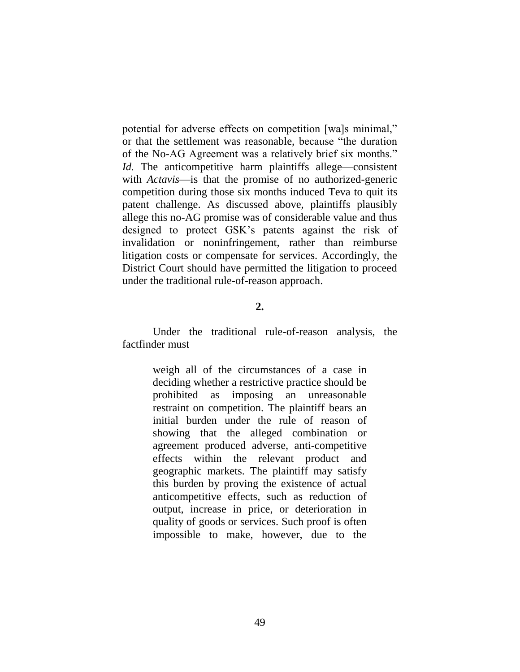potential for adverse effects on competition [wa]s minimal," or that the settlement was reasonable, because "the duration of the No-AG Agreement was a relatively brief six months." *Id.* The anticompetitive harm plaintiffs allege—consistent with *Actavis*—is that the promise of no authorized-generic competition during those six months induced Teva to quit its patent challenge. As discussed above, plaintiffs plausibly allege this no-AG promise was of considerable value and thus designed to protect GSK's patents against the risk of invalidation or noninfringement, rather than reimburse litigation costs or compensate for services. Accordingly, the District Court should have permitted the litigation to proceed under the traditional rule-of-reason approach.

### **2.**

Under the traditional rule-of-reason analysis, the factfinder must

> weigh all of the circumstances of a case in deciding whether a restrictive practice should be prohibited as imposing an unreasonable restraint on competition. The plaintiff bears an initial burden under the rule of reason of showing that the alleged combination or agreement produced adverse, anti-competitive effects within the relevant product and geographic markets. The plaintiff may satisfy this burden by proving the existence of actual anticompetitive effects, such as reduction of output, increase in price, or deterioration in quality of goods or services. Such proof is often impossible to make, however, due to the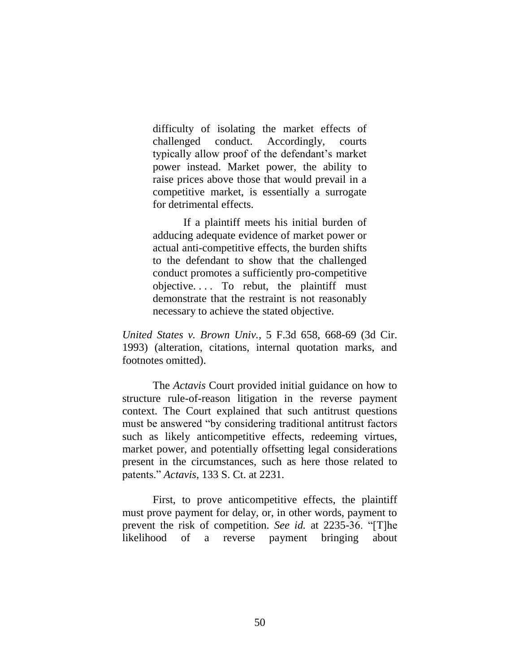difficulty of isolating the market effects of challenged conduct. Accordingly, courts typically allow proof of the defendant's market power instead. Market power, the ability to raise prices above those that would prevail in a competitive market, is essentially a surrogate for detrimental effects.

If a plaintiff meets his initial burden of adducing adequate evidence of market power or actual anti-competitive effects, the burden shifts to the defendant to show that the challenged conduct promotes a sufficiently pro-competitive objective. . . . To rebut, the plaintiff must demonstrate that the restraint is not reasonably necessary to achieve the stated objective.

*United States v. Brown Univ.*, 5 F.3d 658, 668-69 (3d Cir. 1993) (alteration, citations, internal quotation marks, and footnotes omitted).

The *Actavis* Court provided initial guidance on how to structure rule-of-reason litigation in the reverse payment context. The Court explained that such antitrust questions must be answered "by considering traditional antitrust factors such as likely anticompetitive effects, redeeming virtues, market power, and potentially offsetting legal considerations present in the circumstances, such as here those related to patents." *Actavis*, 133 S. Ct. at 2231.

First, to prove anticompetitive effects, the plaintiff must prove payment for delay, or, in other words, payment to prevent the risk of competition. *See id.* at 2235-36. "[T]he likelihood of a reverse payment bringing about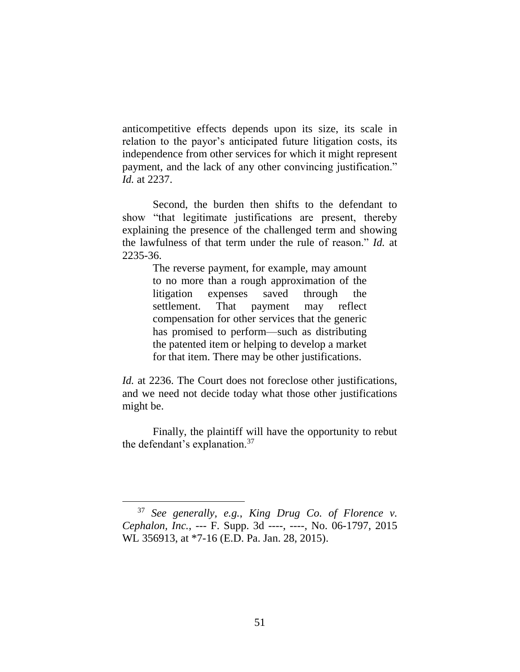anticompetitive effects depends upon its size, its scale in relation to the payor's anticipated future litigation costs, its independence from other services for which it might represent payment, and the lack of any other convincing justification." *Id.* at 2237.

Second, the burden then shifts to the defendant to show "that legitimate justifications are present, thereby explaining the presence of the challenged term and showing the lawfulness of that term under the rule of reason." *Id.* at 2235-36.

> The reverse payment, for example, may amount to no more than a rough approximation of the litigation expenses saved through the settlement. That payment may reflect compensation for other services that the generic has promised to perform—such as distributing the patented item or helping to develop a market for that item. There may be other justifications.

*Id.* at 2236. The Court does not foreclose other justifications, and we need not decide today what those other justifications might be.

Finally, the plaintiff will have the opportunity to rebut the defendant's explanation.<sup>37</sup>

<sup>37</sup> *See generally, e.g.*, *King Drug Co. of Florence v. Cephalon, Inc.*, --- F. Supp. 3d ----, ----, No. 06-1797, 2015 WL 356913, at \*7-16 (E.D. Pa. Jan. 28, 2015).